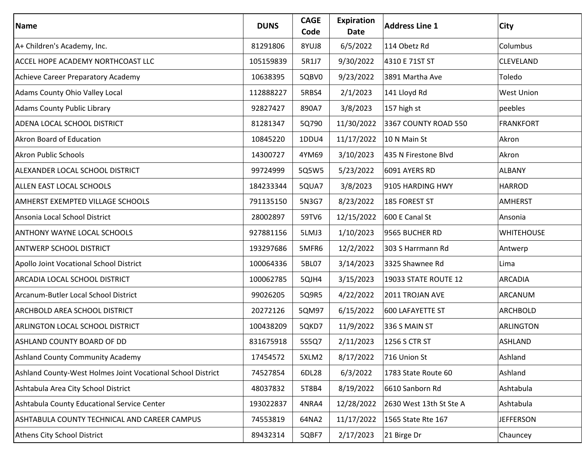| <b>Name</b>                                                 | <b>DUNS</b> | <b>CAGE</b><br>Code | <b>Expiration</b><br><b>Date</b> | <b>Address Line 1</b>   | <b>City</b>       |
|-------------------------------------------------------------|-------------|---------------------|----------------------------------|-------------------------|-------------------|
| A+ Children's Academy, Inc.                                 | 81291806    | 8YUJ8               | 6/5/2022                         | 114 Obetz Rd            | Columbus          |
| ACCEL HOPE ACADEMY NORTHCOAST LLC                           | 105159839   | 5R1J7               | 9/30/2022                        | 4310 E 71ST ST          | <b>CLEVELAND</b>  |
| Achieve Career Preparatory Academy                          | 10638395    | 5QBV0               | 9/23/2022                        | 3891 Martha Ave         | Toledo            |
| Adams County Ohio Valley Local                              | 112888227   | 5RBS4               | 2/1/2023                         | 141 Lloyd Rd            | <b>West Union</b> |
| <b>Adams County Public Library</b>                          | 92827427    | 890A7               | 3/8/2023                         | 157 high st             | peebles           |
| ADENA LOCAL SCHOOL DISTRICT                                 | 81281347    | 5Q790               | 11/30/2022                       | 3367 COUNTY ROAD 550    | <b>FRANKFORT</b>  |
| Akron Board of Education                                    | 10845220    | 1DDU4               | 11/17/2022                       | 10 N Main St            | Akron             |
| <b>Akron Public Schools</b>                                 | 14300727    | 4YM69               | 3/10/2023                        | 435 N Firestone Blvd    | Akron             |
| ALEXANDER LOCAL SCHOOL DISTRICT                             | 99724999    | 5Q5W5               | 5/23/2022                        | 6091 AYERS RD           | <b>ALBANY</b>     |
| ALLEN EAST LOCAL SCHOOLS                                    | 184233344   | 5QUA7               | 3/8/2023                         | 9105 HARDING HWY        | <b>HARROD</b>     |
| AMHERST EXEMPTED VILLAGE SCHOOLS                            | 791135150   | 5N3G7               | 8/23/2022                        | 185 FOREST ST           | <b>AMHERST</b>    |
| Ansonia Local School District                               | 28002897    | 59TV6               | 12/15/2022                       | 600 E Canal St          | Ansonia           |
| <b>ANTHONY WAYNE LOCAL SCHOOLS</b>                          | 927881156   | 5LMJ3               | 1/10/2023                        | 9565 BUCHER RD          | <b>WHITEHOUSE</b> |
| <b>ANTWERP SCHOOL DISTRICT</b>                              | 193297686   | 5MFR6               | 12/2/2022                        | 303 S Harrmann Rd       | Antwerp           |
| Apollo Joint Vocational School District                     | 100064336   | 5BL07               | 3/14/2023                        | 3325 Shawnee Rd         | Lima              |
| ARCADIA LOCAL SCHOOL DISTRICT                               | 100062785   | 5QJH4               | 3/15/2023                        | 19033 STATE ROUTE 12    | <b>ARCADIA</b>    |
| Arcanum-Butler Local School District                        | 99026205    | 5Q9R5               | 4/22/2022                        | 2011 TROJAN AVE         | ARCANUM           |
| ARCHBOLD AREA SCHOOL DISTRICT                               | 20272126    | 5QM97               | 6/15/2022                        | <b>600 LAFAYETTE ST</b> | <b>ARCHBOLD</b>   |
| <b>ARLINGTON LOCAL SCHOOL DISTRICT</b>                      | 100438209   | 5QKD7               | 11/9/2022                        | 336 S MAIN ST           | <b>ARLINGTON</b>  |
| <b>ASHLAND COUNTY BOARD OF DD</b>                           | 831675918   | 5S5Q7               | 2/11/2023                        | 1256 S CTR ST           | ASHLAND           |
| <b>Ashland County Community Academy</b>                     | 17454572    | 5XLM2               | 8/17/2022                        | 716 Union St            | Ashland           |
| Ashland County-West Holmes Joint Vocational School District | 74527854    | 6DL28               | 6/3/2022                         | 1783 State Route 60     | Ashland           |
| Ashtabula Area City School District                         | 48037832    | 5T8B4               | 8/19/2022                        | 6610 Sanborn Rd         | Ashtabula         |
| Ashtabula County Educational Service Center                 | 193022837   | 4NRA4               | 12/28/2022                       | 2630 West 13th St Ste A | Ashtabula         |
| ASHTABULA COUNTY TECHNICAL AND CAREER CAMPUS                | 74553819    | 64NA2               | 11/17/2022                       | 1565 State Rte 167      | <b>JEFFERSON</b>  |
| Athens City School District                                 | 89432314    | 5QBF7               | 2/17/2023                        | 21 Birge Dr             | Chauncey          |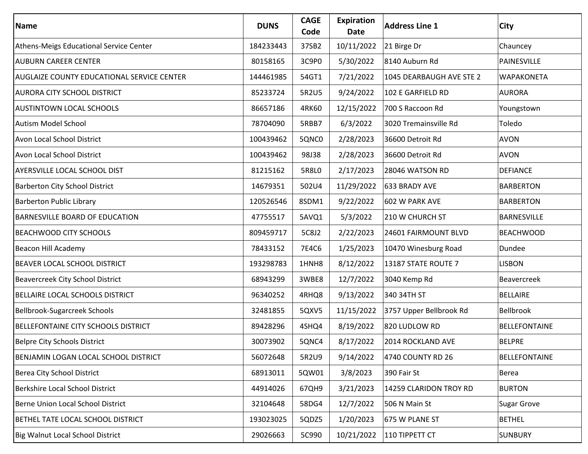| Name                                              | <b>DUNS</b> | <b>CAGE</b><br>Code | Expiration<br>Date | <b>Address Line 1</b>    | City                 |
|---------------------------------------------------|-------------|---------------------|--------------------|--------------------------|----------------------|
| Athens-Meigs Educational Service Center           | 184233443   | 37SB2               | 10/11/2022         | 21 Birge Dr              | Chauncey             |
| <b>AUBURN CAREER CENTER</b>                       | 80158165    | 3C9P0               | 5/30/2022          | 8140 Auburn Rd           | PAINESVILLE          |
| <b>AUGLAIZE COUNTY EDUCATIONAL SERVICE CENTER</b> | 144461985   | 54GT1               | 7/21/2022          | 1045 DEARBAUGH AVE STE 2 | <b>WAPAKONETA</b>    |
| <b>AURORA CITY SCHOOL DISTRICT</b>                | 85233724    | 5R2U5               | 9/24/2022          | 102 E GARFIELD RD        | <b>AURORA</b>        |
| <b>AUSTINTOWN LOCAL SCHOOLS</b>                   | 86657186    | 4RK60               | 12/15/2022         | 700 S Raccoon Rd         | Youngstown           |
| <b>Autism Model School</b>                        | 78704090    | 5RBB7               | 6/3/2022           | 3020 Tremainsville Rd    | Toledo               |
| <b>Avon Local School District</b>                 | 100439462   | 5QNC0               | 2/28/2023          | 36600 Detroit Rd         | <b>AVON</b>          |
| Avon Local School District                        | 100439462   | <b>98J38</b>        | 2/28/2023          | 36600 Detroit Rd         | <b>AVON</b>          |
| <b>AYERSVILLE LOCAL SCHOOL DIST</b>               | 81215162    | 5R8L0               | 2/17/2023          | 28046 WATSON RD          | <b>DEFIANCE</b>      |
| <b>Barberton City School District</b>             | 14679351    | 502U4               | 11/29/2022         | 633 BRADY AVE            | <b>BARBERTON</b>     |
| <b>Barberton Public Library</b>                   | 120526546   | 8SDM1               | 9/22/2022          | 602 W PARK AVE           | <b>BARBERTON</b>     |
| <b>BARNESVILLE BOARD OF EDUCATION</b>             | 47755517    | 5AVQ1               | 5/3/2022           | 210 W CHURCH ST          | <b>BARNESVILLE</b>   |
| <b>BEACHWOOD CITY SCHOOLS</b>                     | 809459717   | 5C8J2               | 2/22/2023          | 24601 FAIRMOUNT BLVD     | <b>BEACHWOOD</b>     |
| Beacon Hill Academy                               | 78433152    | 7E4C6               | 1/25/2023          | 10470 Winesburg Road     | Dundee               |
| BEAVER LOCAL SCHOOL DISTRICT                      | 193298783   | 1HNH8               | 8/12/2022          | 13187 STATE ROUTE 7      | <b>LISBON</b>        |
| Beavercreek City School District                  | 68943299    | 3WBE8               | 12/7/2022          | 3040 Kemp Rd             | <b>Beavercreek</b>   |
| BELLAIRE LOCAL SCHOOLS DISTRICT                   | 96340252    | 4RHQ8               | 9/13/2022          | 340 34TH ST              | <b>BELLAIRE</b>      |
| Bellbrook-Sugarcreek Schools                      | 32481855    | 5QXV5               | 11/15/2022         | 3757 Upper Bellbrook Rd  | <b>Bellbrook</b>     |
| <b>BELLEFONTAINE CITY SCHOOLS DISTRICT</b>        | 89428296    | 4SHQ4               | 8/19/2022          | 820 LUDLOW RD            | <b>BELLEFONTAINE</b> |
| <b>Belpre City Schools District</b>               | 30073902    | 5QNC4               | 8/17/2022          | 2014 ROCKLAND AVE        | <b>BELPRE</b>        |
| BENJAMIN LOGAN LOCAL SCHOOL DISTRICT              | 56072648    | 5R2U9               | 9/14/2022          | 4740 COUNTY RD 26        | <b>BELLEFONTAINE</b> |
| Berea City School District                        | 68913011    | 5QW01               | 3/8/2023           | 390 Fair St              | Berea                |
| Berkshire Local School District                   | 44914026    | 67QH9               | 3/21/2023          | 14259 CLARIDON TROY RD   | <b>BURTON</b>        |
| Berne Union Local School District                 | 32104648    | 58DG4               | 12/7/2022          | 506 N Main St            | <b>Sugar Grove</b>   |
| BETHEL TATE LOCAL SCHOOL DISTRICT                 | 193023025   | 5QDZ5               | 1/20/2023          | 675 W PLANE ST           | <b>BETHEL</b>        |
| Big Walnut Local School District                  | 29026663    | 5C990               | 10/21/2022         | 110 TIPPETT CT           | <b>SUNBURY</b>       |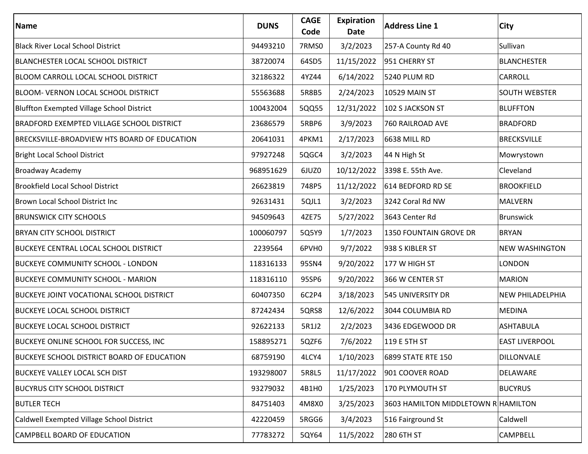| Name                                              | <b>DUNS</b> | <b>CAGE</b><br>Code | <b>Expiration</b><br>Date | <b>Address Line 1</b>               | <b>City</b>             |
|---------------------------------------------------|-------------|---------------------|---------------------------|-------------------------------------|-------------------------|
| <b>Black River Local School District</b>          | 94493210    | 7RMS0               | 3/2/2023                  | 257-A County Rd 40                  | Sullivan                |
| BLANCHESTER LOCAL SCHOOL DISTRICT                 | 38720074    | 64SD5               | 11/15/2022                | 951 CHERRY ST                       | <b>BLANCHESTER</b>      |
| <b>BLOOM CARROLL LOCAL SCHOOL DISTRICT</b>        | 32186322    | 4YZ44               | 6/14/2022                 | 5240 PLUM RD                        | <b>CARROLL</b>          |
| BLOOM- VERNON LOCAL SCHOOL DISTRICT               | 55563688    | 5R8B5               | 2/24/2023                 | <b>10529 MAIN ST</b>                | <b>SOUTH WEBSTER</b>    |
| Bluffton Exempted Village School District         | 100432004   | 5QQ55               | 12/31/2022                | 102 S JACKSON ST                    | <b>BLUFFTON</b>         |
| <b>BRADFORD EXEMPTED VILLAGE SCHOOL DISTRICT</b>  | 23686579    | 5RBP6               | 3/9/2023                  | 760 RAILROAD AVE                    | <b>BRADFORD</b>         |
| BRECKSVILLE-BROADVIEW HTS BOARD OF EDUCATION      | 20641031    | 4PKM1               | 2/17/2023                 | 6638 MILL RD                        | <b>BRECKSVILLE</b>      |
| <b>Bright Local School District</b>               | 97927248    | 5QGC4               | 3/2/2023                  | 44 N High St                        | Mowrystown              |
| <b>Broadway Academy</b>                           | 968951629   | 6JUZ0               | 10/12/2022                | 3398 E. 55th Ave.                   | Cleveland               |
| <b>Brookfield Local School District</b>           | 26623819    | 748P5               | 11/12/2022                | 614 BEDFORD RD SE                   | <b>BROOKFIELD</b>       |
| Brown Local School District Inc                   | 92631431    | 5QJL1               | 3/2/2023                  | 3242 Coral Rd NW                    | <b>MALVERN</b>          |
| <b>BRUNSWICK CITY SCHOOLS</b>                     | 94509643    | 4ZE75               | 5/27/2022                 | 3643 Center Rd                      | <b>Brunswick</b>        |
| <b>BRYAN CITY SCHOOL DISTRICT</b>                 | 100060797   | 5Q5Y9               | 1/7/2023                  | 1350 FOUNTAIN GROVE DR              | <b>BRYAN</b>            |
| <b>BUCKEYE CENTRAL LOCAL SCHOOL DISTRICT</b>      | 2239564     | 6PVH0               | 9/7/2022                  | 938 S KIBLER ST                     | <b>NEW WASHINGTON</b>   |
| <b>BUCKEYE COMMUNITY SCHOOL - LONDON</b>          | 118316133   | 95SN4               | 9/20/2022                 | 177 W HIGH ST                       | <b>LONDON</b>           |
| <b>BUCKEYE COMMUNITY SCHOOL - MARION</b>          | 118316110   | 95SP6               | 9/20/2022                 | 366 W CENTER ST                     | <b>MARION</b>           |
| <b>BUCKEYE JOINT VOCATIONAL SCHOOL DISTRICT</b>   | 60407350    | 6C2P4               | 3/18/2023                 | 545 UNIVERSITY DR                   | <b>NEW PHILADELPHIA</b> |
| <b>BUCKEYE LOCAL SCHOOL DISTRICT</b>              | 87242434    | 5QRS8               | 12/6/2022                 | 3044 COLUMBIA RD                    | <b>MEDINA</b>           |
| <b>BUCKEYE LOCAL SCHOOL DISTRICT</b>              | 92622133    | 5R1J2               | 2/2/2023                  | 3436 EDGEWOOD DR                    | <b>ASHTABULA</b>        |
| <b>BUCKEYE ONLINE SCHOOL FOR SUCCESS, INC</b>     | 158895271   | 5QZF6               | 7/6/2022                  | $ 119E$ 5TH ST                      | <b>EAST LIVERPOOL</b>   |
| <b>BUCKEYE SCHOOL DISTRICT BOARD OF EDUCATION</b> | 68759190    | 4LCY4               | 1/10/2023                 | 6899 STATE RTE 150                  | DILLONVALE              |
| <b>BUCKEYE VALLEY LOCAL SCH DIST</b>              | 193298007   | 5R8L5               | 11/17/2022                | 901 COOVER ROAD                     | <b>DELAWARE</b>         |
| <b>BUCYRUS CITY SCHOOL DISTRICT</b>               | 93279032    | 4B1H0               | 1/25/2023                 | 170 PLYMOUTH ST                     | <b>BUCYRUS</b>          |
| <b>BUTLER TECH</b>                                | 84751403    | 4M8X0               | 3/25/2023                 | 3603 HAMILTON MIDDLETOWN R HAMILTON |                         |
| Caldwell Exempted Village School District         | 42220459    | 5RGG6               | 3/4/2023                  | 516 Fairground St                   | Caldwell                |
| CAMPBELL BOARD OF EDUCATION                       | 77783272    | 5QY64               | 11/5/2022                 | 280 6TH ST                          | <b>CAMPBELL</b>         |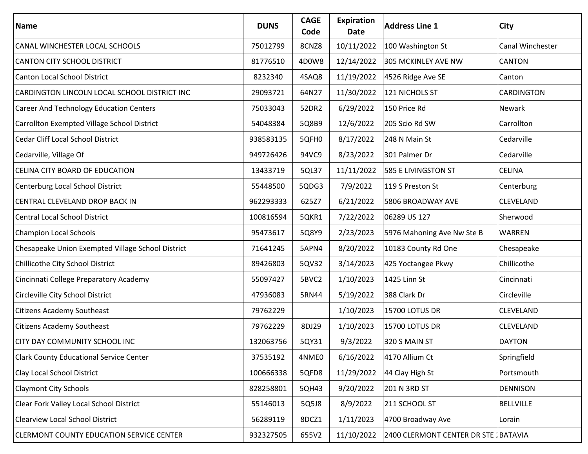| <b>Name</b>                                       | <b>DUNS</b> | <b>CAGE</b><br>Code | <b>Expiration</b><br>Date | <b>Address Line 1</b>                | City             |
|---------------------------------------------------|-------------|---------------------|---------------------------|--------------------------------------|------------------|
| CANAL WINCHESTER LOCAL SCHOOLS                    | 75012799    | 8CNZ8               | 10/11/2022                | 100 Washington St                    | Canal Winchester |
| <b>CANTON CITY SCHOOL DISTRICT</b>                | 81776510    | 4D0W8               | 12/14/2022                | 305 MCKINLEY AVE NW                  | <b>CANTON</b>    |
| <b>Canton Local School District</b>               | 8232340     | 4SAQ8               | 11/19/2022                | 4526 Ridge Ave SE                    | Canton           |
| CARDINGTON LINCOLN LOCAL SCHOOL DISTRICT INC      | 29093721    | 64N27               | 11/30/2022                | 121 NICHOLS ST                       | CARDINGTON       |
| <b>Career And Technology Education Centers</b>    | 75033043    | 52DR2               | 6/29/2022                 | 150 Price Rd                         | Newark           |
| Carrollton Exempted Village School District       | 54048384    | 5Q8B9               | 12/6/2022                 | 205 Scio Rd SW                       | Carrollton       |
| <b>Cedar Cliff Local School District</b>          | 938583135   | 5QFH0               | 8/17/2022                 | 248 N Main St                        | Cedarville       |
| Cedarville, Village Of                            | 949726426   | 94VC9               | 8/23/2022                 | 301 Palmer Dr                        | Cedarville       |
| CELINA CITY BOARD OF EDUCATION                    | 13433719    | 5QL37               | 11/11/2022                | 585 E LIVINGSTON ST                  | <b>CELINA</b>    |
| Centerburg Local School District                  | 55448500    | 5QDG3               | 7/9/2022                  | 119 S Preston St                     | Centerburg       |
| CENTRAL CLEVELAND DROP BACK IN                    | 962293333   | 625Z7               | 6/21/2022                 | 5806 BROADWAY AVE                    | CLEVELAND        |
| <b>Central Local School District</b>              | 100816594   | 5QKR1               | 7/22/2022                 | 06289 US 127                         | Sherwood         |
| <b>Champion Local Schools</b>                     | 95473617    | 5Q8Y9               | 2/23/2023                 | 5976 Mahoning Ave Nw Ste B           | <b>WARREN</b>    |
| Chesapeake Union Exempted Village School District | 71641245    | 5APN4               | 8/20/2022                 | 10183 County Rd One                  | Chesapeake       |
| Chillicothe City School District                  | 89426803    | 5QV32               | 3/14/2023                 | 425 Yoctangee Pkwy                   | Chillicothe      |
| Cincinnati College Preparatory Academy            | 55097427    | 5BVC2               | 1/10/2023                 | 1425 Linn St                         | Cincinnati       |
| Circleville City School District                  | 47936083    | 5RN44               | 5/19/2022                 | 388 Clark Dr                         | Circleville      |
| <b>Citizens Academy Southeast</b>                 | 79762229    |                     | 1/10/2023                 | 15700 LOTUS DR                       | CLEVELAND        |
| <b>Citizens Academy Southeast</b>                 | 79762229    | 8DJ29               | 1/10/2023                 | 15700 LOTUS DR                       | CLEVELAND        |
| <b>CITY DAY COMMUNITY SCHOOL INC</b>              | 132063756   | 5QY31               | 9/3/2022                  | 320 S MAIN ST                        | <b>DAYTON</b>    |
| <b>Clark County Educational Service Center</b>    | 37535192    | 4NME0               | 6/16/2022                 | 4170 Allium Ct                       | Springfield      |
| Clay Local School District                        | 100666338   | 5QFD8               | 11/29/2022                | 44 Clay High St                      | Portsmouth       |
| <b>Claymont City Schools</b>                      | 828258801   | 5QH43               | 9/20/2022                 | 201 N 3RD ST                         | <b>DENNISON</b>  |
| Clear Fork Valley Local School District           | 55146013    | 5Q5J8               | 8/9/2022                  | 211 SCHOOL ST                        | <b>BELLVILLE</b> |
| <b>Clearview Local School District</b>            | 56289119    | 8DCZ1               | 1/11/2023                 | 4700 Broadway Ave                    | Lorain           |
| CLERMONT COUNTY EDUCATION SERVICE CENTER          | 932327505   | 655V2               | 11/10/2022                | 2400 CLERMONT CENTER DR STE JBATAVIA |                  |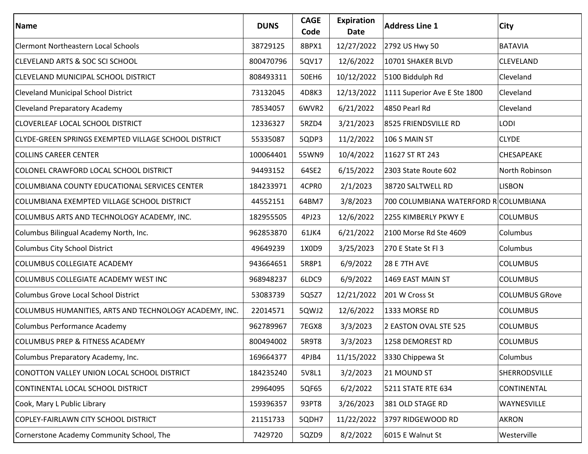| Name                                                   | <b>DUNS</b> | <b>CAGE</b><br>Code | Expiration<br>Date | <b>Address Line 1</b>                 | City                  |
|--------------------------------------------------------|-------------|---------------------|--------------------|---------------------------------------|-----------------------|
| <b>Clermont Northeastern Local Schools</b>             | 38729125    | 8BPX1               | 12/27/2022         | 2792 US Hwy 50                        | <b>BATAVIA</b>        |
| <b>CLEVELAND ARTS &amp; SOC SCI SCHOOL</b>             | 800470796   | 5QV17               | 12/6/2022          | 10701 SHAKER BLVD                     | CLEVELAND             |
| <b>CLEVELAND MUNICIPAL SCHOOL DISTRICT</b>             | 808493311   | 50EH6               | 10/12/2022         | 5100 Biddulph Rd                      | Cleveland             |
| <b>Cleveland Municipal School District</b>             | 73132045    | 4D8K3               | 12/13/2022         | 1111 Superior Ave E Ste 1800          | Cleveland             |
| <b>Cleveland Preparatory Academy</b>                   | 78534057    | 6WVR2               | 6/21/2022          | 4850 Pearl Rd                         | Cleveland             |
| CLOVERLEAF LOCAL SCHOOL DISTRICT                       | 12336327    | 5RZD4               | 3/21/2023          | 8525 FRIENDSVILLE RD                  | LODI                  |
| CLYDE-GREEN SPRINGS EXEMPTED VILLAGE SCHOOL DISTRICT   | 55335087    | 5QDP3               | 11/2/2022          | 106 S MAIN ST                         | <b>CLYDE</b>          |
| <b>COLLINS CAREER CENTER</b>                           | 100064401   | 55WN9               | 10/4/2022          | 11627 ST RT 243                       | CHESAPEAKE            |
| COLONEL CRAWFORD LOCAL SCHOOL DISTRICT                 | 94493152    | 64SE2               | 6/15/2022          | 2303 State Route 602                  | North Robinson        |
| COLUMBIANA COUNTY EDUCATIONAL SERVICES CENTER          | 184233971   | 4CPR0               | 2/1/2023           | 38720 SALTWELL RD                     | <b>LISBON</b>         |
| COLUMBIANA EXEMPTED VILLAGE SCHOOL DISTRICT            | 44552151    | 64BM7               | 3/8/2023           | 700 COLUMBIANA WATERFORD R COLUMBIANA |                       |
| COLUMBUS ARTS AND TECHNOLOGY ACADEMY, INC.             | 182955505   | 4PJ23               | 12/6/2022          | 2255 KIMBERLY PKWY E                  | <b>COLUMBUS</b>       |
| Columbus Bilingual Academy North, Inc.                 | 962853870   | 61JK4               | 6/21/2022          | 2100 Morse Rd Ste 4609                | Columbus              |
| <b>Columbus City School District</b>                   | 49649239    | 1X0D9               | 3/25/2023          | 270 E State St Fl 3                   | Columbus              |
| <b>COLUMBUS COLLEGIATE ACADEMY</b>                     | 943664651   | 5R8P1               | 6/9/2022           | <b>28 E 7TH AVE</b>                   | <b>COLUMBUS</b>       |
| COLUMBUS COLLEGIATE ACADEMY WEST INC                   | 968948237   | 6LDC9               | 6/9/2022           | 1469 EAST MAIN ST                     | <b>COLUMBUS</b>       |
| Columbus Grove Local School District                   | 53083739    | 5Q5Z7               | 12/21/2022         | 201 W Cross St                        | <b>COLUMBUS GRove</b> |
| COLUMBUS HUMANITIES, ARTS AND TECHNOLOGY ACADEMY, INC. | 22014571    | 5QWJ2               | 12/6/2022          | 1333 MORSE RD                         | <b>COLUMBUS</b>       |
| Columbus Performance Academy                           | 962789967   | 7EGX8               | 3/3/2023           | 2 EASTON OVAL STE 525                 | <b>COLUMBUS</b>       |
| <b>COLUMBUS PREP &amp; FITNESS ACADEMY</b>             | 800494002   | 5R9T8               | 3/3/2023           | 1258 DEMOREST RD                      | <b>COLUMBUS</b>       |
| Columbus Preparatory Academy, Inc.                     | 169664377   | 4PJB4               | 11/15/2022         | 3330 Chippewa St                      | Columbus              |
| CONOTTON VALLEY UNION LOCAL SCHOOL DISTRICT            | 184235240   | 5V8L1               | 3/2/2023           | 21 MOUND ST                           | SHERRODSVILLE         |
| CONTINENTAL LOCAL SCHOOL DISTRICT                      | 29964095    | 5QF65               | 6/2/2022           | 5211 STATE RTE 634                    | CONTINENTAL           |
| Cook, Mary L Public Library                            | 159396357   | 93PT8               | 3/26/2023          | 381 OLD STAGE RD                      | WAYNESVILLE           |
| COPLEY-FAIRLAWN CITY SCHOOL DISTRICT                   | 21151733    | 5QDH7               | 11/22/2022         | 3797 RIDGEWOOD RD                     | <b>AKRON</b>          |
| Cornerstone Academy Community School, The              | 7429720     | 5QZD9               | 8/2/2022           | 6015 E Walnut St                      | Westerville           |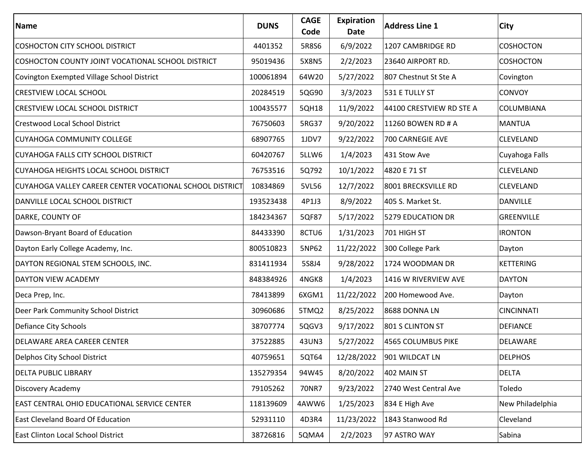| Name                                                     | <b>DUNS</b> | <b>CAGE</b><br>Code | Expiration<br>Date | <b>Address Line 1</b>    | City              |
|----------------------------------------------------------|-------------|---------------------|--------------------|--------------------------|-------------------|
| <b>COSHOCTON CITY SCHOOL DISTRICT</b>                    | 4401352     | 5R8S6               | 6/9/2022           | 1207 CAMBRIDGE RD        | <b>COSHOCTON</b>  |
| COSHOCTON COUNTY JOINT VOCATIONAL SCHOOL DISTRICT        | 95019436    | 5X8N5               | 2/2/2023           | 23640 AIRPORT RD.        | <b>COSHOCTON</b>  |
| Covington Exempted Village School District               | 100061894   | 64W20               | 5/27/2022          | 807 Chestnut St Ste A    | Covington         |
| <b>CRESTVIEW LOCAL SCHOOL</b>                            | 20284519    | 5QG90               | 3/3/2023           | 531 E TULLY ST           | <b>CONVOY</b>     |
| CRESTVIEW LOCAL SCHOOL DISTRICT                          | 100435577   | 5QH18               | 11/9/2022          | 44100 CRESTVIEW RD STE A | COLUMBIANA        |
| <b>Crestwood Local School District</b>                   | 76750603    | 5RG37               | 9/20/2022          | 11260 BOWEN RD # A       | <b>MANTUA</b>     |
| <b>CUYAHOGA COMMUNITY COLLEGE</b>                        | 68907765    | 1JDV7               | 9/22/2022          | 700 CARNEGIE AVE         | CLEVELAND         |
| <b>CUYAHOGA FALLS CITY SCHOOL DISTRICT</b>               | 60420767    | 5LLW6               | 1/4/2023           | 431 Stow Ave             | Cuyahoga Falls    |
| CUYAHOGA HEIGHTS LOCAL SCHOOL DISTRICT                   | 76753516    | 5Q792               | 10/1/2022          | 4820 E 71 ST             | CLEVELAND         |
| CUYAHOGA VALLEY CAREER CENTER VOCATIONAL SCHOOL DISTRICT | 10834869    | 5VL56               | 12/7/2022          | 8001 BRECKSVILLE RD      | CLEVELAND         |
| DANVILLE LOCAL SCHOOL DISTRICT                           | 193523438   | 4P1J3               | 8/9/2022           | 405 S. Market St.        | <b>DANVILLE</b>   |
| DARKE, COUNTY OF                                         | 184234367   | 5QF87               | 5/17/2022          | 5279 EDUCATION DR        | <b>GREENVILLE</b> |
| Dawson-Bryant Board of Education                         | 84433390    | 8CTU6               | 1/31/2023          | 701 HIGH ST              | <b>IRONTON</b>    |
| Dayton Early College Academy, Inc.                       | 800510823   | 5NP62               | 11/22/2022         | 300 College Park         | Dayton            |
| DAYTON REGIONAL STEM SCHOOLS, INC.                       | 831411934   | 5S8J4               | 9/28/2022          | 1724 WOODMAN DR          | <b>KETTERING</b>  |
| DAYTON VIEW ACADEMY                                      | 848384926   | 4NGK8               | 1/4/2023           | 1416 W RIVERVIEW AVE     | <b>DAYTON</b>     |
| Deca Prep, Inc.                                          | 78413899    | 6XGM1               | 11/22/2022         | 200 Homewood Ave.        | Dayton            |
| Deer Park Community School District                      | 30960686    | 5TMQ2               | 8/25/2022          | 8688 DONNA LN            | <b>CINCINNATI</b> |
| Defiance City Schools                                    | 38707774    | 5QGV3               | 9/17/2022          | 801 S CLINTON ST         | <b>DEFIANCE</b>   |
| <b>DELAWARE AREA CAREER CENTER</b>                       | 37522885    | 43UN3               | 5/27/2022          | 4565 COLUMBUS PIKE       | DELAWARE          |
| Delphos City School District                             | 40759651    | 5QT64               | 12/28/2022         | 901 WILDCAT LN           | <b>DELPHOS</b>    |
| <b>DELTA PUBLIC LIBRARY</b>                              | 135279354   | 94W45               | 8/20/2022          | 402 MAIN ST              | <b>DELTA</b>      |
| <b>Discovery Academy</b>                                 | 79105262    | 70NR7               | 9/23/2022          | 2740 West Central Ave    | Toledo            |
| <b>EAST CENTRAL OHIO EDUCATIONAL SERVICE CENTER</b>      | 118139609   | 4AWW6               | 1/25/2023          | 834 E High Ave           | New Philadelphia  |
| <b>East Cleveland Board Of Education</b>                 | 52931110    | 4D3R4               | 11/23/2022         | 1843 Stanwood Rd         | Cleveland         |
| East Clinton Local School District                       | 38726816    | 5QMA4               | 2/2/2023           | 97 ASTRO WAY             | Sabina            |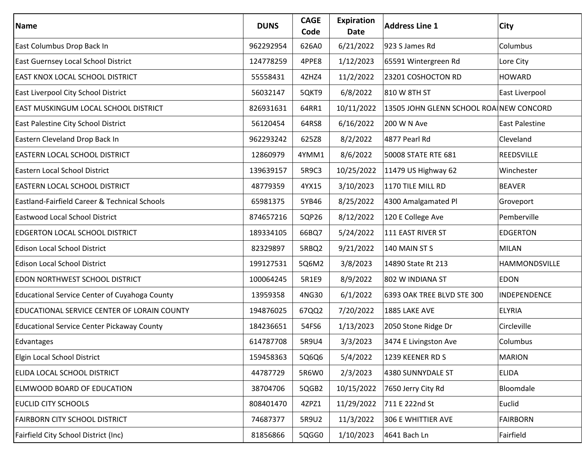| Name                                              | <b>DUNS</b> | <b>CAGE</b><br>Code | Expiration<br>Date | <b>Address Line 1</b>                   | City            |
|---------------------------------------------------|-------------|---------------------|--------------------|-----------------------------------------|-----------------|
| East Columbus Drop Back In                        | 962292954   | 626A0               | 6/21/2022          | 923 S James Rd                          | Columbus        |
| East Guernsey Local School District               | 124778259   | 4PPE8               | 1/12/2023          | 65591 Wintergreen Rd                    | Lore City       |
| <b>EAST KNOX LOCAL SCHOOL DISTRICT</b>            | 55558431    | 4ZHZ4               | 11/2/2022          | 23201 COSHOCTON RD                      | <b>HOWARD</b>   |
| East Liverpool City School District               | 56032147    | 5QKT9               | 6/8/2022           | 810 W 8TH ST                            | East Liverpool  |
| <b>EAST MUSKINGUM LOCAL SCHOOL DISTRICT</b>       | 826931631   | 64RR1               | 10/11/2022         | 13505 JOHN GLENN SCHOOL ROA NEW CONCORD |                 |
| East Palestine City School District               | 56120454    | 64RS8               | 6/16/2022          | 200 W N Ave                             | East Palestine  |
| Eastern Cleveland Drop Back In                    | 962293242   | 625Z8               | 8/2/2022           | 4877 Pearl Rd                           | Cleveland       |
| <b>EASTERN LOCAL SCHOOL DISTRICT</b>              | 12860979    | 4YMM1               | 8/6/2022           | 50008 STATE RTE 681                     | REEDSVILLE      |
| <b>Eastern Local School District</b>              | 139639157   | 5R9C3               | 10/25/2022         | 11479 US Highway 62                     | Winchester      |
| <b>EASTERN LOCAL SCHOOL DISTRICT</b>              | 48779359    | 4YX15               | 3/10/2023          | 1170 TILE MILL RD                       | <b>BEAVER</b>   |
| Eastland-Fairfield Career & Technical Schools     | 65981375    | 5YB46               | 8/25/2022          | 4300 Amalgamated Pl                     | Groveport       |
| <b>Eastwood Local School District</b>             | 874657216   | 5QP26               | 8/12/2022          | 120 E College Ave                       | Pemberville     |
| EDGERTON LOCAL SCHOOL DISTRICT                    | 189334105   | 66BQ7               | 5/24/2022          | 111 EAST RIVER ST                       | <b>EDGERTON</b> |
| <b>Edison Local School District</b>               | 82329897    | 5RBQ2               | 9/21/2022          | 140 MAIN ST S                           | <b>MILAN</b>    |
| <b>Edison Local School District</b>               | 199127531   | 5Q6M2               | 3/8/2023           | 14890 State Rt 213                      | HAMMONDSVILLE   |
| <b>EDON NORTHWEST SCHOOL DISTRICT</b>             | 100064245   | 5R1E9               | 8/9/2022           | 802 W INDIANA ST                        | <b>EDON</b>     |
| Educational Service Center of Cuyahoga County     | 13959358    | 4NG30               | 6/1/2022           | 6393 OAK TREE BLVD STE 300              | INDEPENDENCE    |
| EDUCATIONAL SERVICE CENTER OF LORAIN COUNTY       | 194876025   | 67QQ2               | 7/20/2022          | 1885 LAKE AVE                           | <b>ELYRIA</b>   |
| <b>Educational Service Center Pickaway County</b> | 184236651   | 54FS6               | 1/13/2023          | 2050 Stone Ridge Dr                     | Circleville     |
| Edvantages                                        | 614787708   | 5R9U4               | 3/3/2023           | 3474 E Livingston Ave                   | Columbus        |
| Elgin Local School District                       | 159458363   | 5Q6Q6               | 5/4/2022           | 1239 KEENER RD S                        | <b>MARION</b>   |
| ELIDA LOCAL SCHOOL DISTRICT                       | 44787729    | 5R6W0               | 2/3/2023           | 4380 SUNNYDALE ST                       | <b>ELIDA</b>    |
| <b>ELMWOOD BOARD OF EDUCATION</b>                 | 38704706    | 5QGB2               | 10/15/2022         | 7650 Jerry City Rd                      | Bloomdale       |
| <b>EUCLID CITY SCHOOLS</b>                        | 808401470   | 4ZPZ1               | 11/29/2022         | 711 E 222nd St                          | Euclid          |
| <b>FAIRBORN CITY SCHOOL DISTRICT</b>              | 74687377    | 5R9U2               | 11/3/2022          | 306 E WHITTIER AVE                      | <b>FAIRBORN</b> |
| Fairfield City School District (Inc)              | 81856866    | 5QGG0               | 1/10/2023          | 4641 Bach Ln                            | Fairfield       |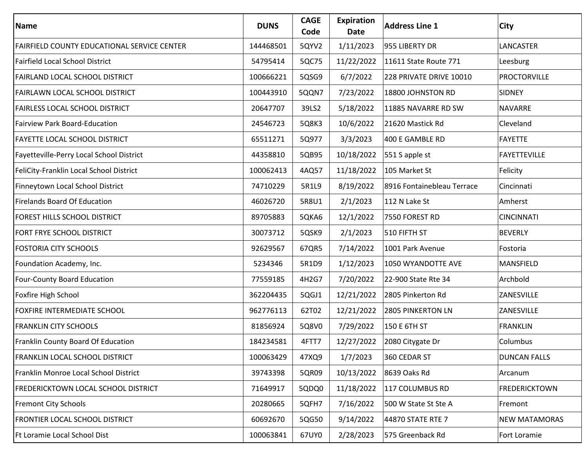| Name                                        | <b>DUNS</b> | <b>CAGE</b><br>Code | <b>Expiration</b><br>Date | <b>Address Line 1</b>      | <b>City</b>          |
|---------------------------------------------|-------------|---------------------|---------------------------|----------------------------|----------------------|
| FAIRFIELD COUNTY EDUCATIONAL SERVICE CENTER | 144468501   | 5QYV2               | 1/11/2023                 | 955 LIBERTY DR             | LANCASTER            |
| <b>Fairfield Local School District</b>      | 54795414    | 5QC75               | 11/22/2022                | 11611 State Route 771      | Leesburg             |
| FAIRLAND LOCAL SCHOOL DISTRICT              | 100666221   | 5QSG9               | 6/7/2022                  | 228 PRIVATE DRIVE 10010    | PROCTORVILLE         |
| FAIRLAWN LOCAL SCHOOL DISTRICT              | 100443910   | 5QQN7               | 7/23/2022                 | 18800 JOHNSTON RD          | <b>SIDNEY</b>        |
| <b>FAIRLESS LOCAL SCHOOL DISTRICT</b>       | 20647707    | 39LS2               | 5/18/2022                 | 11885 NAVARRE RD SW        | <b>NAVARRE</b>       |
| <b>Fairview Park Board-Education</b>        | 24546723    | 5Q8K3               | 10/6/2022                 | 21620 Mastick Rd           | Cleveland            |
| <b>FAYETTE LOCAL SCHOOL DISTRICT</b>        | 65511271    | 5Q977               | 3/3/2023                  | 400 E GAMBLE RD            | <b>FAYETTE</b>       |
| Fayetteville-Perry Local School District    | 44358810    | 5QB95               | 10/18/2022                | 551 S apple st             | <b>FAYETTEVILLE</b>  |
| FeliCity-Franklin Local School District     | 100062413   | 4AQ57               | 11/18/2022                | 105 Market St              | Felicity             |
| Finneytown Local School District            | 74710229    | 5R1L9               | 8/19/2022                 | 8916 Fontainebleau Terrace | Cincinnati           |
| <b>Firelands Board Of Education</b>         | 46026720    | 5R8U1               | 2/1/2023                  | 112 N Lake St              | Amherst              |
| FOREST HILLS SCHOOL DISTRICT                | 89705883    | 5QKA6               | 12/1/2022                 | 7550 FOREST RD             | <b>CINCINNATI</b>    |
| FORT FRYE SCHOOL DISTRICT                   | 30073712    | 5QSK9               | 2/1/2023                  | 510 FIFTH ST               | <b>BEVERLY</b>       |
| <b>FOSTORIA CITY SCHOOLS</b>                | 92629567    | 67QR5               | 7/14/2022                 | 1001 Park Avenue           | Fostoria             |
| Foundation Academy, Inc.                    | 5234346     | 5R1D9               | 1/12/2023                 | 1050 WYANDOTTE AVE         | <b>MANSFIELD</b>     |
| Four-County Board Education                 | 77559185    | 4H2G7               | 7/20/2022                 | 22-900 State Rte 34        | Archbold             |
| Foxfire High School                         | 362204435   | 5QGJ1               | 12/21/2022                | 2805 Pinkerton Rd          | ZANESVILLE           |
| FOXFIRE INTERMEDIATE SCHOOL                 | 962776113   | 62T02               | 12/21/2022                | 2805 PINKERTON LN          | ZANESVILLE           |
| <b>FRANKLIN CITY SCHOOLS</b>                | 81856924    | 5Q8V0               | 7/29/2022                 | 150 E 6TH ST               | <b>FRANKLIN</b>      |
| Franklin County Board Of Education          | 184234581   | 4FTT7               | 12/27/2022                | 2080 Citygate Dr           | Columbus             |
| <b>FRANKLIN LOCAL SCHOOL DISTRICT</b>       | 100063429   | 47XQ9               | 1/7/2023                  | 360 CEDAR ST               | <b>DUNCAN FALLS</b>  |
| Franklin Monroe Local School District       | 39743398    | 5QR09               | 10/13/2022                | 8639 Oaks Rd               | Arcanum              |
| <b>FREDERICKTOWN LOCAL SCHOOL DISTRICT</b>  | 71649917    | 5QDQ0               | 11/18/2022                | 117 COLUMBUS RD            | <b>FREDERICKTOWN</b> |
| <b>Fremont City Schools</b>                 | 20280665    | 5QFH7               | 7/16/2022                 | 500 W State St Ste A       | Fremont              |
| FRONTIER LOCAL SCHOOL DISTRICT              | 60692670    | 5QG50               | 9/14/2022                 | 44870 STATE RTE 7          | <b>NEW MATAMORAS</b> |
| Ft Loramie Local School Dist                | 100063841   | 67UY0               | 2/28/2023                 | 575 Greenback Rd           | Fort Loramie         |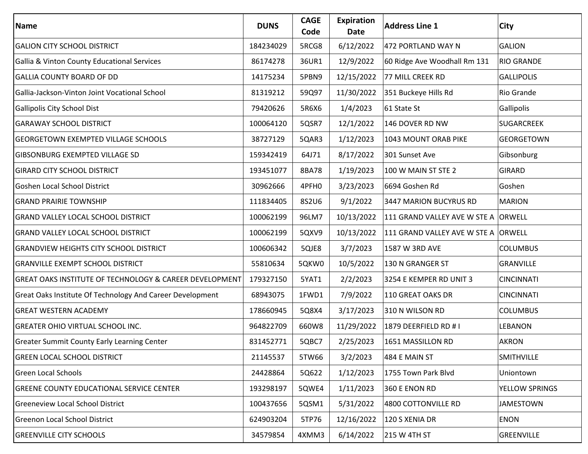| Name                                                               | <b>DUNS</b> | <b>CAGE</b><br>Code | <b>Expiration</b><br>Date | <b>Address Line 1</b>               | City              |
|--------------------------------------------------------------------|-------------|---------------------|---------------------------|-------------------------------------|-------------------|
| <b>GALION CITY SCHOOL DISTRICT</b>                                 | 184234029   | 5RCG8               | 6/12/2022                 | 472 PORTLAND WAY N                  | <b>GALION</b>     |
| Gallia & Vinton County Educational Services                        | 86174278    | 36UR1               | 12/9/2022                 | 60 Ridge Ave Woodhall Rm 131        | <b>RIO GRANDE</b> |
| <b>GALLIA COUNTY BOARD OF DD</b>                                   | 14175234    | 5PBN9               | 12/15/2022                | 77 MILL CREEK RD                    | <b>GALLIPOLIS</b> |
| Gallia-Jackson-Vinton Joint Vocational School                      | 81319212    | 59Q97               | 11/30/2022                | 351 Buckeye Hills Rd                | Rio Grande        |
| Gallipolis City School Dist                                        | 79420626    | 5R6X6               | 1/4/2023                  | 61 State St                         | Gallipolis        |
| <b>GARAWAY SCHOOL DISTRICT</b>                                     | 100064120   | 5QSR7               | 12/1/2022                 | 146 DOVER RD NW                     | <b>SUGARCREEK</b> |
| <b>GEORGETOWN EXEMPTED VILLAGE SCHOOLS</b>                         | 38727129    | 5QAR3               | 1/12/2023                 | 1043 MOUNT ORAB PIKE                | GEORGETOWN        |
| <b>GIBSONBURG EXEMPTED VILLAGE SD</b>                              | 159342419   | 64J71               | 8/17/2022                 | 301 Sunset Ave                      | Gibsonburg        |
| <b>GIRARD CITY SCHOOL DISTRICT</b>                                 | 193451077   | 8BA78               | 1/19/2023                 | 100 W MAIN ST STE 2                 | <b>GIRARD</b>     |
| Goshen Local School District                                       | 30962666    | 4PFH0               | 3/23/2023                 | 6694 Goshen Rd                      | Goshen            |
| <b>GRAND PRAIRIE TOWNSHIP</b>                                      | 111834405   | 8S2U6               | 9/1/2022                  | 3447 MARION BUCYRUS RD              | <b>MARION</b>     |
| <b>GRAND VALLEY LOCAL SCHOOL DISTRICT</b>                          | 100062199   | 96LM7               | 10/13/2022                | 111 GRAND VALLEY AVE W STE A ORWELL |                   |
| <b>GRAND VALLEY LOCAL SCHOOL DISTRICT</b>                          | 100062199   | 5QXV9               | 10/13/2022                | 111 GRAND VALLEY AVE W STE A ORWELL |                   |
| <b>GRANDVIEW HEIGHTS CITY SCHOOL DISTRICT</b>                      | 100606342   | 5QJE8               | 3/7/2023                  | 1587 W 3RD AVE                      | <b>COLUMBUS</b>   |
| <b>GRANVILLE EXEMPT SCHOOL DISTRICT</b>                            | 55810634    | 5QKW0               | 10/5/2022                 | 130 N GRANGER ST                    | <b>GRANVILLE</b>  |
| <b>GREAT OAKS INSTITUTE OF TECHNOLOGY &amp; CAREER DEVELOPMENT</b> | 179327150   | 5YAT1               | 2/2/2023                  | 3254 E KEMPER RD UNIT 3             | <b>CINCINNATI</b> |
| Great Oaks Institute Of Technology And Career Development          | 68943075    | 1FWD1               | 7/9/2022                  | 110 GREAT OAKS DR                   | <b>CINCINNATI</b> |
| <b>GREAT WESTERN ACADEMY</b>                                       | 178660945   | 5Q8X4               | 3/17/2023                 | 310 N WILSON RD                     | <b>COLUMBUS</b>   |
| <b>GREATER OHIO VIRTUAL SCHOOL INC.</b>                            | 964822709   | 660W8               | 11/29/2022                | 1879 DEERFIELD RD #1                | <b>LEBANON</b>    |
| <b>Greater Summit County Early Learning Center</b>                 | 831452771   | 5QBC7               | 2/25/2023                 | 1651 MASSILLON RD                   | <b>AKRON</b>      |
| GREEN LOCAL SCHOOL DISTRICT                                        | 21145537    | 5TW66               | 3/2/2023                  | 484 E MAIN ST                       | SMITHVILLE        |
| <b>Green Local Schools</b>                                         | 24428864    | 5Q622               | 1/12/2023                 | 1755 Town Park Blvd                 | Uniontown         |
| <b>GREENE COUNTY EDUCATIONAL SERVICE CENTER</b>                    | 193298197   | 5QWE4               | 1/11/2023                 | 360 E ENON RD                       | YELLOW SPRINGS    |
| <b>Greeneview Local School District</b>                            | 100437656   | 5QSM1               | 5/31/2022                 | 4800 COTTONVILLE RD                 | <b>JAMESTOWN</b>  |
| <b>Greenon Local School District</b>                               | 624903204   | 5TP76               | 12/16/2022                | 120 S XENIA DR                      | <b>ENON</b>       |
| <b>GREENVILLE CITY SCHOOLS</b>                                     | 34579854    | 4XMM3               | 6/14/2022                 | 215 W 4TH ST                        | <b>GREENVILLE</b> |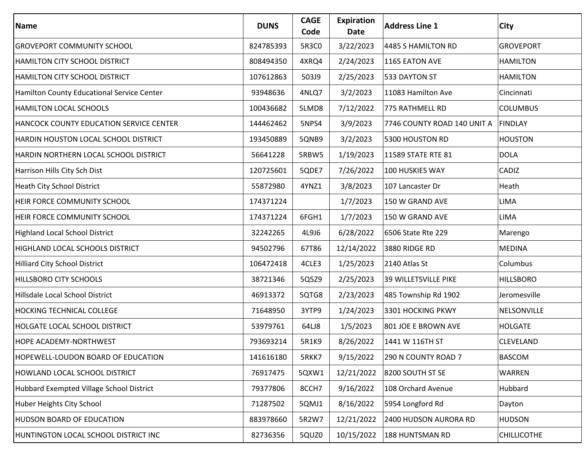| <b>Name</b>                                | <b>DUNS</b> | <b>CAGE</b><br>Code | Expiration<br>Date | <b>Address Line 1</b>       | City               |
|--------------------------------------------|-------------|---------------------|--------------------|-----------------------------|--------------------|
| <b>GROVEPORT COMMUNITY SCHOOL</b>          | 824785393   | 5R3C0               | 3/22/2023          | 4485 S HAMILTON RD          | <b>GROVEPORT</b>   |
| <b>HAMILTON CITY SCHOOL DISTRICT</b>       | 808494350   | 4XRQ4               | 2/24/2023          | 1165 EATON AVE              | <b>HAMILTON</b>    |
| <b>HAMILTON CITY SCHOOL DISTRICT</b>       | 107612863   | 503J9               | 2/25/2023          | 533 DAYTON ST               | <b>HAMILTON</b>    |
| Hamilton County Educational Service Center | 93948636    | 4NLQ7               | 3/2/2023           | 11083 Hamilton Ave          | Cincinnati         |
| <b>HAMILTON LOCAL SCHOOLS</b>              | 100436682   | 5LMD8               | 7/12/2022          | 775 RATHMELL RD             | <b>COLUMBUS</b>    |
| HANCOCK COUNTY EDUCATION SERVICE CENTER    | 144462462   | 5NPS4               | 3/9/2023           | 7746 COUNTY ROAD 140 UNIT A | <b>FINDLAY</b>     |
| HARDIN HOUSTON LOCAL SCHOOL DISTRICT       | 193450889   | 5QNB9               | 3/2/2023           | 5300 HOUSTON RD             | <b>HOUSTON</b>     |
| HARDIN NORTHERN LOCAL SCHOOL DISTRICT      | 56641228    | 5RBW5               | 1/19/2023          | 11589 STATE RTE 81          | <b>DOLA</b>        |
| Harrison Hills City Sch Dist               | 120725601   | 5QDE7               | 7/26/2022          | 100 HUSKIES WAY             | CADIZ              |
| <b>Heath City School District</b>          | 55872980    | 4YNZ1               | 3/8/2023           | 107 Lancaster Dr            | Heath              |
| <b>HEIR FORCE COMMUNITY SCHOOL</b>         | 174371224   |                     | 1/7/2023           | 150 W GRAND AVE             | <b>LIMA</b>        |
| <b>HEIR FORCE COMMUNITY SCHOOL</b>         | 174371224   | 6FGH1               | 1/7/2023           | 150 W GRAND AVE             | <b>LIMA</b>        |
| <b>Highland Local School District</b>      | 32242265    | 4L9J6               | 6/28/2022          | 6506 State Rte 229          | Marengo            |
| <b>HIGHLAND LOCAL SCHOOLS DISTRICT</b>     | 94502796    | 67T86               | 12/14/2022         | 3880 RIDGE RD               | <b>MEDINA</b>      |
| <b>Hilliard City School District</b>       | 106472418   | 4CLE3               | 1/25/2023          | 2140 Atlas St               | Columbus           |
| <b>HILLSBORO CITY SCHOOLS</b>              | 38721346    | 5Q5Z9               | 2/25/2023          | 39 WILLETSVILLE PIKE        | <b>HILLSBORO</b>   |
| Hillsdale Local School District            | 46913372    | 5QTG8               | 2/23/2023          | 485 Township Rd 1902        | Jeromesville       |
| <b>HOCKING TECHNICAL COLLEGE</b>           | 71648950    | 3YTP9               | 1/24/2023          | 3301 HOCKING PKWY           | NELSONVILLE        |
| <b>HOLGATE LOCAL SCHOOL DISTRICT</b>       | 53979761    | 64LJ8               | 1/5/2023           | 801 JOE E BROWN AVE         | <b>HOLGATE</b>     |
| <b>HOPE ACADEMY-NORTHWEST</b>              | 793693214   | 5R1K9               | 8/26/2022          | 1441 W 116TH ST             | CLEVELAND          |
| <b>HOPEWELL-LOUDON BOARD OF EDUCATION</b>  | 141616180   | 5RKK7               | 9/15/2022          | 290 N COUNTY ROAD 7         | <b>BASCOM</b>      |
| HOWLAND LOCAL SCHOOL DISTRICT              | 76917475    | 5QXW1               | 12/21/2022         | 8200 SOUTH ST SE            | WARREN             |
| Hubbard Exempted Village School District   | 79377806    | 8CCH7               | 9/16/2022          | 108 Orchard Avenue          | Hubbard            |
| Huber Heights City School                  | 71287502    | 5QMJ1               | 8/16/2022          | 5954 Longford Rd            | Dayton             |
| <b>HUDSON BOARD OF EDUCATION</b>           | 883978660   | 5R2W7               | 12/21/2022         | 2400 HUDSON AURORA RD       | <b>HUDSON</b>      |
| HUNTINGTON LOCAL SCHOOL DISTRICT INC       | 82736356    | 5QUZ0               | 10/15/2022         | 188 HUNTSMAN RD             | <b>CHILLICOTHE</b> |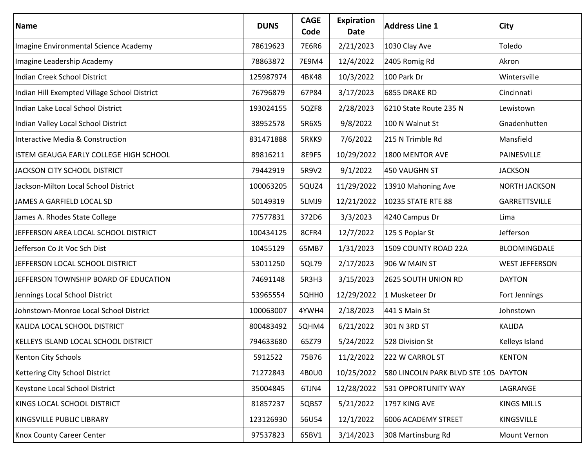| Name                                         | <b>DUNS</b> | <b>CAGE</b><br>Code | Expiration<br>Date | <b>Address Line 1</b>                | <b>City</b>           |
|----------------------------------------------|-------------|---------------------|--------------------|--------------------------------------|-----------------------|
| Imagine Environmental Science Academy        | 78619623    | 7E6R6               | 2/21/2023          | 1030 Clay Ave                        | Toledo                |
| Imagine Leadership Academy                   | 78863872    | 7E9M4               | 12/4/2022          | 2405 Romig Rd                        | Akron                 |
| Indian Creek School District                 | 125987974   | 4BK48               | 10/3/2022          | 100 Park Dr                          | Wintersville          |
| Indian Hill Exempted Village School District | 76796879    | 67P84               | 3/17/2023          | 6855 DRAKE RD                        | Cincinnati            |
| Indian Lake Local School District            | 193024155   | 5QZF8               | 2/28/2023          | 6210 State Route 235 N               | Lewistown             |
| Indian Valley Local School District          | 38952578    | 5R6X5               | 9/8/2022           | 100 N Walnut St                      | Gnadenhutten          |
| Interactive Media & Construction             | 831471888   | 5RKK9               | 7/6/2022           | 215 N Trimble Rd                     | Mansfield             |
| ISTEM GEAUGA EARLY COLLEGE HIGH SCHOOL       | 89816211    | 8E9F5               | 10/29/2022         | 1800 MENTOR AVE                      | PAINESVILLE           |
| JACKSON CITY SCHOOL DISTRICT                 | 79442919    | 5R9V2               | 9/1/2022           | 450 VAUGHN ST                        | <b>JACKSON</b>        |
| Jackson-Milton Local School District         | 100063205   | 5QUZ4               | 11/29/2022         | 13910 Mahoning Ave                   | <b>NORTH JACKSON</b>  |
| JAMES A GARFIELD LOCAL SD                    | 50149319    | 5LMJ9               | 12/21/2022         | 10235 STATE RTE 88                   | <b>GARRETTSVILLE</b>  |
| James A. Rhodes State College                | 77577831    | 372D6               | 3/3/2023           | 4240 Campus Dr                       | Lima                  |
| JEFFERSON AREA LOCAL SCHOOL DISTRICT         | 100434125   | 8CFR4               | 12/7/2022          | 125 S Poplar St                      | Jefferson             |
| Jefferson Co Jt Voc Sch Dist                 | 10455129    | 65MB7               | 1/31/2023          | 1509 COUNTY ROAD 22A                 | BLOOMINGDALE          |
| JEFFERSON LOCAL SCHOOL DISTRICT              | 53011250    | 5QL79               | 2/17/2023          | 906 W MAIN ST                        | <b>WEST JEFFERSON</b> |
| JEFFERSON TOWNSHIP BOARD OF EDUCATION        | 74691148    | 5R3H3               | 3/15/2023          | 2625 SOUTH UNION RD                  | <b>DAYTON</b>         |
| Jennings Local School District               | 53965554    | 5QHH0               | 12/29/2022         | 1 Musketeer Dr                       | Fort Jennings         |
| Johnstown-Monroe Local School District       | 100063007   | 4YWH4               | 2/18/2023          | 441 S Main St                        | Johnstown             |
| KALIDA LOCAL SCHOOL DISTRICT                 | 800483492   | 5QHM4               | 6/21/2022          | 301 N 3RD ST                         | KALIDA                |
| KELLEYS ISLAND LOCAL SCHOOL DISTRICT         | 794633680   | 65Z79               | 5/24/2022          | 528 Division St                      | Kelleys Island        |
| Kenton City Schools                          | 5912522     | 75B76               | 11/2/2022          | 222 W CARROL ST                      | <b>KENTON</b>         |
| Kettering City School District               | 71272843    | 4B0U0               | 10/25/2022         | 580 LINCOLN PARK BLVD STE 105 DAYTON |                       |
| Keystone Local School District               | 35004845    | 6TJN4               | 12/28/2022         | 531 OPPORTUNITY WAY                  | LAGRANGE              |
| KINGS LOCAL SCHOOL DISTRICT                  | 81857237    | 5QBS7               | 5/21/2022          | 1797 KING AVE                        | <b>KINGS MILLS</b>    |
| <b>KINGSVILLE PUBLIC LIBRARY</b>             | 123126930   | 56U54               | 12/1/2022          | 6006 ACADEMY STREET                  | KINGSVILLE            |
| <b>Knox County Career Center</b>             | 97537823    | 65BV1               | 3/14/2023          | 308 Martinsburg Rd                   | Mount Vernon          |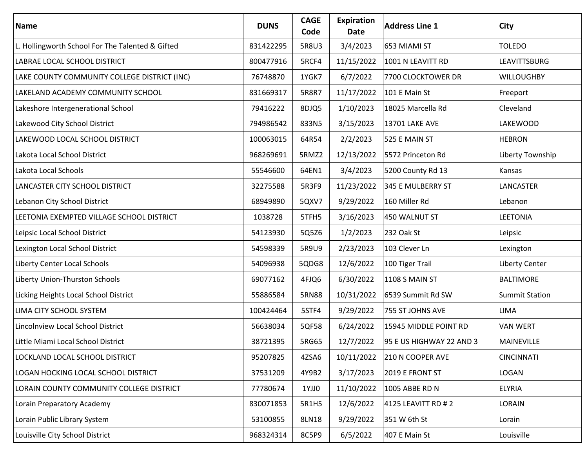| Name                                             | <b>DUNS</b> | <b>CAGE</b><br>Code | Expiration<br>Date | <b>Address Line 1</b>    | City                  |
|--------------------------------------------------|-------------|---------------------|--------------------|--------------------------|-----------------------|
| L. Hollingworth School For The Talented & Gifted | 831422295   | 5R8U3               | 3/4/2023           | 653 MIAMI ST             | <b>TOLEDO</b>         |
| LABRAE LOCAL SCHOOL DISTRICT                     | 800477916   | 5RCF4               | 11/15/2022         | 1001 N LEAVITT RD        | LEAVITTSBURG          |
| LAKE COUNTY COMMUNITY COLLEGE DISTRICT (INC)     | 76748870    | 1YGK7               | 6/7/2022           | 7700 CLOCKTOWER DR       | <b>WILLOUGHBY</b>     |
| LAKELAND ACADEMY COMMUNITY SCHOOL                | 831669317   | 5R8R7               | 11/17/2022         | 101 E Main St            | Freeport              |
| Lakeshore Intergenerational School               | 79416222    | 8DJQ5               | 1/10/2023          | 18025 Marcella Rd        | Cleveland             |
| Lakewood City School District                    | 794986542   | 833N5               | 3/15/2023          | <b>13701 LAKE AVE</b>    | LAKEWOOD              |
| LAKEWOOD LOCAL SCHOOL DISTRICT                   | 100063015   | 64R54               | 2/2/2023           | 525 E MAIN ST            | <b>HEBRON</b>         |
| Lakota Local School District                     | 968269691   | 5RMZ2               | 12/13/2022         | 5572 Princeton Rd        | Liberty Township      |
| Lakota Local Schools                             | 55546600    | 64EN1               | 3/4/2023           | 5200 County Rd 13        | Kansas                |
| LANCASTER CITY SCHOOL DISTRICT                   | 32275588    | 5R3F9               | 11/23/2022         | 345 E MULBERRY ST        | LANCASTER             |
| Lebanon City School District                     | 68949890    | 5QXV7               | 9/29/2022          | 160 Miller Rd            | Lebanon               |
| LEETONIA EXEMPTED VILLAGE SCHOOL DISTRICT        | 1038728     | 5TFH5               | 3/16/2023          | 450 WALNUT ST            | <b>LEETONIA</b>       |
| Leipsic Local School District                    | 54123930    | 5Q5Z6               | 1/2/2023           | 232 Oak St               | Leipsic               |
| Lexington Local School District                  | 54598339    | 5R9U9               | 2/23/2023          | 103 Clever Ln            | Lexington             |
| Liberty Center Local Schools                     | 54096938    | 5QDG8               | 12/6/2022          | 100 Tiger Trail          | Liberty Center        |
| Liberty Union-Thurston Schools                   | 69077162    | 4FJQ6               | 6/30/2022          | 1108 S MAIN ST           | <b>BALTIMORE</b>      |
| Licking Heights Local School District            | 55886584    | <b>5RN88</b>        | 10/31/2022         | 6539 Summit Rd SW        | <b>Summit Station</b> |
| LIMA CITY SCHOOL SYSTEM                          | 100424464   | 5STF4               | 9/29/2022          | 755 ST JOHNS AVE         | LIMA                  |
| Lincolnview Local School District                | 56638034    | 5QF58               | 6/24/2022          | 15945 MIDDLE POINT RD    | <b>VAN WERT</b>       |
| Little Miami Local School District               | 38721395    | 5RG65               | 12/7/2022          | 95 E US HIGHWAY 22 AND 3 | <b>MAINEVILLE</b>     |
| LOCKLAND LOCAL SCHOOL DISTRICT                   | 95207825    | 4ZSA6               | 10/11/2022         | 210 N COOPER AVE         | <b>CINCINNATI</b>     |
| LOGAN HOCKING LOCAL SCHOOL DISTRICT              | 37531209    | 4Y9B2               | 3/17/2023          | 2019 E FRONT ST          | LOGAN                 |
| LORAIN COUNTY COMMUNITY COLLEGE DISTRICT         | 77780674    | 1YJJ0               | 11/10/2022         | 1005 ABBE RD N           | <b>ELYRIA</b>         |
| Lorain Preparatory Academy                       | 830071853   | 5R1H5               | 12/6/2022          | 4125 LEAVITT RD # 2      | LORAIN                |
| Lorain Public Library System                     | 53100855    | 8LN18               | 9/29/2022          | 351 W 6th St             | Lorain                |
| Louisville City School District                  | 968324314   | 8C5P9               | 6/5/2022           | 407 E Main St            | Louisville            |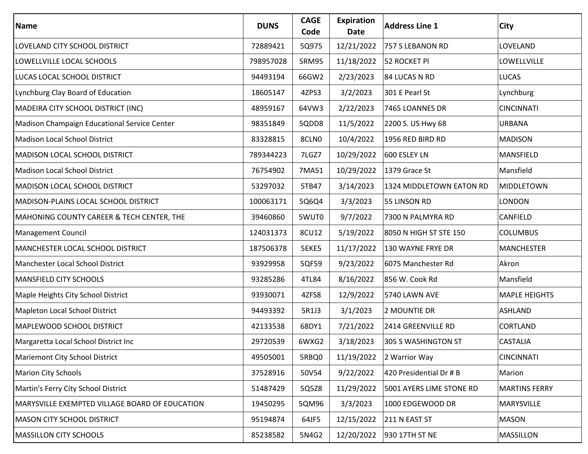| Name                                           | <b>DUNS</b> | <b>CAGE</b><br>Code | Expiration<br>Date | <b>Address Line 1</b>    | City                 |
|------------------------------------------------|-------------|---------------------|--------------------|--------------------------|----------------------|
| LOVELAND CITY SCHOOL DISTRICT                  | 72889421    | 5Q975               | 12/21/2022         | 757 S LEBANON RD         | LOVELAND             |
| LOWELLVILLE LOCAL SCHOOLS                      | 798957028   | 5RM95               | 11/18/2022         | 52 ROCKET PI             | LOWELLVILLE          |
| LUCAS LOCAL SCHOOL DISTRICT                    | 94493194    | 66GW2               | 2/23/2023          | 84 LUCAS N RD            | <b>LUCAS</b>         |
| Lynchburg Clay Board of Education              | 18605147    | 4ZPS3               | 3/2/2023           | 301 E Pearl St           | Lynchburg            |
| MADEIRA CITY SCHOOL DISTRICT (INC)             | 48959167    | 64VW3               | 2/22/2023          | 7465 LOANNES DR          | <b>CINCINNATI</b>    |
| Madison Champaign Educational Service Center   | 98351849    | 5QDD8               | 11/5/2022          | 2200 S. US Hwy 68        | <b>URBANA</b>        |
| Madison Local School District                  | 83328815    | 8CLN0               | 10/4/2022          | 1956 RED BIRD RD         | <b>MADISON</b>       |
| <b>MADISON LOCAL SCHOOL DISTRICT</b>           | 789344223   | 7LGZ7               | 10/29/2022         | 600 ESLEY LN             | MANSFIELD            |
| Madison Local School District                  | 76754902    | 7MA51               | 10/29/2022         | 1379 Grace St            | Mansfield            |
| <b>MADISON LOCAL SCHOOL DISTRICT</b>           | 53297032    | 5TB47               | 3/14/2023          | 1324 MIDDLETOWN EATON RD | <b>MIDDLETOWN</b>    |
| MADISON-PLAINS LOCAL SCHOOL DISTRICT           | 100063171   | 5Q6Q4               | 3/3/2023           | 55 LINSON RD             | LONDON               |
| MAHONING COUNTY CAREER & TECH CENTER, THE      | 39460860    | 5WUT0               | 9/7/2022           | 7300 N PALMYRA RD        | CANFIELD             |
| <b>Management Council</b>                      | 124031373   | 8CU12               | 5/19/2022          | 8050 N HIGH ST STE 150   | <b>COLUMBUS</b>      |
| MANCHESTER LOCAL SCHOOL DISTRICT               | 187506378   | 5EKE5               | 11/17/2022         | 130 WAYNE FRYE DR        | <b>MANCHESTER</b>    |
| Manchester Local School District               | 93929958    | 5QF59               | 9/23/2022          | 6075 Manchester Rd       | Akron                |
| <b>MANSFIELD CITY SCHOOLS</b>                  | 93285286    | 4TL84               | 8/16/2022          | 856 W. Cook Rd           | Mansfield            |
| Maple Heights City School District             | 93930071    | 4ZFS8               | 12/9/2022          | 5740 LAWN AVE            | <b>MAPLE HEIGHTS</b> |
| Mapleton Local School District                 | 94493392    | 5R1J3               | 3/1/2023           | 2 MOUNTIE DR             | ASHLAND              |
| MAPLEWOOD SCHOOL DISTRICT                      | 42133538    | 68DY1               | 7/21/2022          | 2414 GREENVILLE RD       | CORTLAND             |
| Margaretta Local School District Inc           | 29720539    | 6WXG2               | 3/18/2023          | 305 S WASHINGTON ST      | <b>CASTALIA</b>      |
| Mariemont City School District                 | 49505001    | 5RBQ0               | 11/19/2022         | 2 Warrior Way            | <b>CINCINNATI</b>    |
| <b>Marion City Schools</b>                     | 37528916    | 50V54               | 9/22/2022          | 420 Presidential Dr # B  | Marion               |
| Martin's Ferry City School District            | 51487429    | 5Q5Z8               | 11/29/2022         | 5001 AYERS LIME STONE RD | <b>MARTINS FERRY</b> |
| MARYSVILLE EXEMPTED VILLAGE BOARD OF EDUCATION | 19450295    | 5QM96               | 3/3/2023           | 1000 EDGEWOOD DR         | MARYSVILLE           |
| <b>MASON CITY SCHOOL DISTRICT</b>              | 95194874    | 64JF5               | 12/15/2022         | 211 N EAST ST            | <b>MASON</b>         |
| <b>MASSILLON CITY SCHOOLS</b>                  | 85238582    | 5N4G2               | 12/20/2022         | 930 17TH ST NE           | MASSILLON            |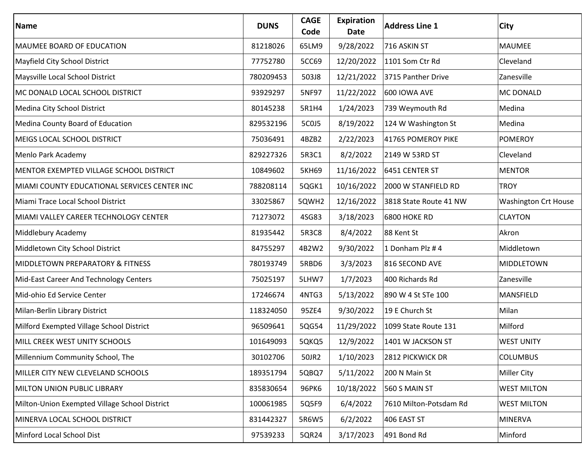| <b>Name</b>                                   | <b>DUNS</b> | <b>CAGE</b><br>Code | <b>Expiration</b><br>Date | <b>Address Line 1</b>  | City                        |
|-----------------------------------------------|-------------|---------------------|---------------------------|------------------------|-----------------------------|
| MAUMEE BOARD OF EDUCATION                     | 81218026    | 65LM9               | 9/28/2022                 | 716 ASKIN ST           | <b>MAUMEE</b>               |
| Mayfield City School District                 | 77752780    | 5CC69               | 12/20/2022                | 1101 Som Ctr Rd        | Cleveland                   |
| Maysville Local School District               | 780209453   | 503J8               | 12/21/2022                | 3715 Panther Drive     | Zanesville                  |
| MC DONALD LOCAL SCHOOL DISTRICT               | 93929297    | 5NF97               | 11/22/2022                | <b>600 IOWA AVE</b>    | MC DONALD                   |
| Medina City School District                   | 80145238    | 5R1H4               | 1/24/2023                 | 739 Weymouth Rd        | Medina                      |
| Medina County Board of Education              | 829532196   | 5C0J5               | 8/19/2022                 | 124 W Washington St    | Medina                      |
| MEIGS LOCAL SCHOOL DISTRICT                   | 75036491    | 4BZB2               | 2/22/2023                 | 41765 POMEROY PIKE     | <b>POMEROY</b>              |
| Menlo Park Academy                            | 829227326   | 5R3C1               | 8/2/2022                  | 2149 W 53RD ST         | Cleveland                   |
| MENTOR EXEMPTED VILLAGE SCHOOL DISTRICT       | 10849602    | <b>5KH69</b>        | 11/16/2022                | 6451 CENTER ST         | <b>MENTOR</b>               |
| MIAMI COUNTY EDUCATIONAL SERVICES CENTER INC  | 788208114   | 5QGK1               | 10/16/2022                | 2000 W STANFIELD RD    | <b>TROY</b>                 |
| Miami Trace Local School District             | 33025867    | 5QWH2               | 12/16/2022                | 3818 State Route 41 NW | <b>Washington Crt House</b> |
| MIAMI VALLEY CAREER TECHNOLOGY CENTER         | 71273072    | 4SG83               | 3/18/2023                 | <b>6800 HOKE RD</b>    | <b>CLAYTON</b>              |
| Middlebury Academy                            | 81935442    | 5R3C8               | 8/4/2022                  | 88 Kent St             | Akron                       |
| Middletown City School District               | 84755297    | 4B2W2               | 9/30/2022                 | 1 Donham Plz #4        | Middletown                  |
| <b>MIDDLETOWN PREPARATORY &amp; FITNESS</b>   | 780193749   | 5RBD6               | 3/3/2023                  | 816 SECOND AVE         | MIDDLETOWN                  |
| Mid-East Career And Technology Centers        | 75025197    | 5LHW7               | 1/7/2023                  | 400 Richards Rd        | Zanesville                  |
| Mid-ohio Ed Service Center                    | 17246674    | 4NTG3               | 5/13/2022                 | 890 W 4 St STe 100     | MANSFIELD                   |
| Milan-Berlin Library District                 | 118324050   | 95ZE4               | 9/30/2022                 | 19 E Church St         | Milan                       |
| Milford Exempted Village School District      | 96509641    | 5QG54               | 11/29/2022                | 1099 State Route 131   | Milford                     |
| MILL CREEK WEST UNITY SCHOOLS                 | 101649093   | 5QKQ5               | 12/9/2022                 | 1401 W JACKSON ST      | <b>WEST UNITY</b>           |
| Millennium Community School, The              | 30102706    | 50JR2               | 1/10/2023                 | 2812 PICKWICK DR       | <b>COLUMBUS</b>             |
| MILLER CITY NEW CLEVELAND SCHOOLS             | 189351794   | 5QBQ7               | 5/11/2022                 | 200 N Main St          | <b>Miller City</b>          |
| MILTON UNION PUBLIC LIBRARY                   | 835830654   | 96PK6               | 10/18/2022                | 560 S MAIN ST          | <b>WEST MILTON</b>          |
| Milton-Union Exempted Village School District | 100061985   | 5Q5F9               | 6/4/2022                  | 7610 Milton-Potsdam Rd | <b>WEST MILTON</b>          |
| MINERVA LOCAL SCHOOL DISTRICT                 | 831442327   | 5R6W5               | 6/2/2022                  | 406 EAST ST            | <b>MINERVA</b>              |
| Minford Local School Dist                     | 97539233    | 5QR24               | 3/17/2023                 | 491 Bond Rd            | Minford                     |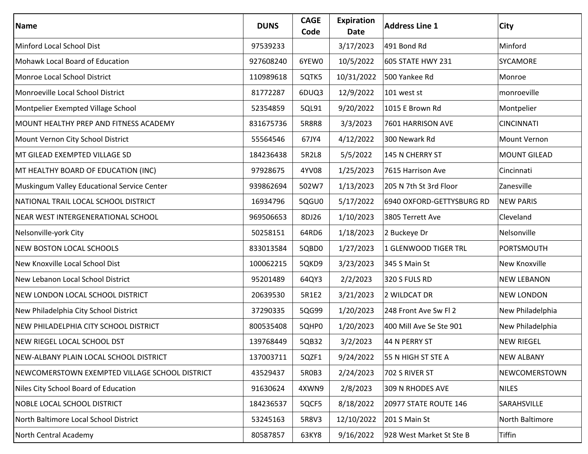| Name                                           | <b>DUNS</b> | <b>CAGE</b><br>Code | Expiration<br>Date | <b>Address Line 1</b>     | City                |
|------------------------------------------------|-------------|---------------------|--------------------|---------------------------|---------------------|
| Minford Local School Dist                      | 97539233    |                     | 3/17/2023          | 491 Bond Rd               | Minford             |
| Mohawk Local Board of Education                | 927608240   | 6YEW0               | 10/5/2022          | 605 STATE HWY 231         | <b>SYCAMORE</b>     |
| Monroe Local School District                   | 110989618   | 5QTK5               | 10/31/2022         | 500 Yankee Rd             | Monroe              |
| Monroeville Local School District              | 81772287    | 6DUQ3               | 12/9/2022          | 101 west st               | monroeville         |
| Montpelier Exempted Village School             | 52354859    | 5QL91               | 9/20/2022          | 1015 E Brown Rd           | Montpelier          |
| MOUNT HEALTHY PREP AND FITNESS ACADEMY         | 831675736   | 5R8R8               | 3/3/2023           | 7601 HARRISON AVE         | <b>CINCINNATI</b>   |
| Mount Vernon City School District              | 55564546    | 67JY4               | 4/12/2022          | 300 Newark Rd             | Mount Vernon        |
| MT GILEAD EXEMPTED VILLAGE SD                  | 184236438   | 5R2L8               | 5/5/2022           | 145 N CHERRY ST           | <b>MOUNT GILEAD</b> |
| MT HEALTHY BOARD OF EDUCATION (INC)            | 97928675    | 4YV08               | 1/25/2023          | 7615 Harrison Ave         | Cincinnati          |
| Muskingum Valley Educational Service Center    | 939862694   | 502W7               | 1/13/2023          | 205 N 7th St 3rd Floor    | Zanesville          |
| NATIONAL TRAIL LOCAL SCHOOL DISTRICT           | 16934796    | 5QGU0               | 5/17/2022          | 6940 OXFORD-GETTYSBURG RD | <b>NEW PARIS</b>    |
| NEAR WEST INTERGENERATIONAL SCHOOL             | 969506653   | 8DJ26               | 1/10/2023          | 3805 Terrett Ave          | Cleveland           |
| Nelsonville-york City                          | 50258151    | 64RD6               | 1/18/2023          | 2 Buckeye Dr              | Nelsonville         |
| <b>NEW BOSTON LOCAL SCHOOLS</b>                | 833013584   | 5QBD0               | 1/27/2023          | 1 GLENWOOD TIGER TRL      | <b>PORTSMOUTH</b>   |
| New Knoxville Local School Dist                | 100062215   | 5QKD9               | 3/23/2023          | 345 S Main St             | New Knoxville       |
| New Lebanon Local School District              | 95201489    | 64QY3               | 2/2/2023           | 320 S FULS RD             | <b>NEW LEBANON</b>  |
| NEW LONDON LOCAL SCHOOL DISTRICT               | 20639530    | 5R1E2               | 3/21/2023          | 2 WILDCAT DR              | <b>NEW LONDON</b>   |
| New Philadelphia City School District          | 37290335    | 5QG99               | 1/20/2023          | 248 Front Ave Sw Fl 2     | New Philadelphia    |
| NEW PHILADELPHIA CITY SCHOOL DISTRICT          | 800535408   | 5QHP0               | 1/20/2023          | 400 Mill Ave Se Ste 901   | New Philadelphia    |
| NEW RIEGEL LOCAL SCHOOL DST                    | 139768449   | 5QB32               | 3/2/2023           | 44 N PERRY ST             | <b>NEW RIEGEL</b>   |
| NEW-ALBANY PLAIN LOCAL SCHOOL DISTRICT         | 137003711   | 5QZF1               | 9/24/2022          | 55 N HIGH ST STE A        | <b>NEW ALBANY</b>   |
| NEWCOMERSTOWN EXEMPTED VILLAGE SCHOOL DISTRICT | 43529437    | 5R0B3               | 2/24/2023          | 702 S RIVER ST            | NEWCOMERSTOWN       |
| Niles City School Board of Education           | 91630624    | 4XWN9               | 2/8/2023           | 309 N RHODES AVE          | <b>NILES</b>        |
| <b>NOBLE LOCAL SCHOOL DISTRICT</b>             | 184236537   | 5QCF5               | 8/18/2022          | 20977 STATE ROUTE 146     | SARAHSVILLE         |
| North Baltimore Local School District          | 53245163    | 5R8V3               | 12/10/2022         | 201 S Main St             | North Baltimore     |
| North Central Academy                          | 80587857    | 63KY8               | 9/16/2022          | 928 West Market St Ste B  | Tiffin              |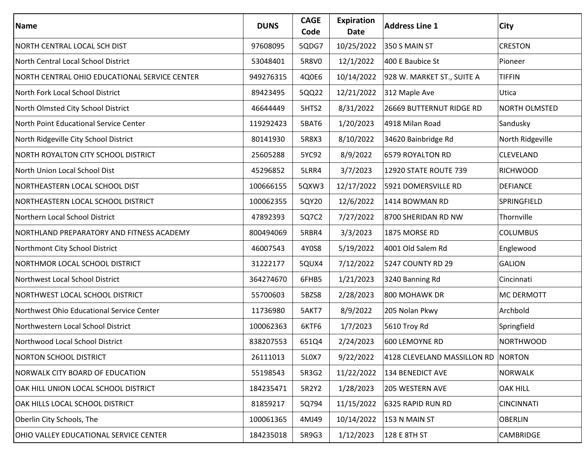| Name                                          | <b>DUNS</b> | <b>CAGE</b><br>Code | <b>Expiration</b><br>Date | <b>Address Line 1</b>       | City              |
|-----------------------------------------------|-------------|---------------------|---------------------------|-----------------------------|-------------------|
| NORTH CENTRAL LOCAL SCH DIST                  | 97608095    | 5QDG7               | 10/25/2022                | 350 S MAIN ST               | <b>CRESTON</b>    |
| North Central Local School District           | 53048401    | 5R8V0               | 12/1/2022                 | 400 E Baubice St            | Pioneer           |
| NORTH CENTRAL OHIO EDUCATIONAL SERVICE CENTER | 949276315   | 4Q0E6               | 10/14/2022                | 928 W. MARKET ST., SUITE A  | <b>TIFFIN</b>     |
| North Fork Local School District              | 89423495    | 5QQ22               | 12/21/2022                | 312 Maple Ave               | Utica             |
| North Olmsted City School District            | 46644449    | 5HTS2               | 8/31/2022                 | 26669 BUTTERNUT RIDGE RD    | NORTH OLMSTED     |
| North Point Educational Service Center        | 119292423   | 5BAT6               | 1/20/2023                 | 4918 Milan Road             | Sandusky          |
| North Ridgeville City School District         | 80141930    | 5R8X3               | 8/10/2022                 | 34620 Bainbridge Rd         | North Ridgeville  |
| NORTH ROYALTON CITY SCHOOL DISTRICT           | 25605288    | 5YC92               | 8/9/2022                  | 6579 ROYALTON RD            | CLEVELAND         |
| North Union Local School Dist                 | 45296852    | 5LRR4               | 3/7/2023                  | 12920 STATE ROUTE 739       | <b>RICHWOOD</b>   |
| NORTHEASTERN LOCAL SCHOOL DIST                | 100666155   | 5QXW3               | 12/17/2022                | 5921 DOMERSVILLE RD         | <b>DEFIANCE</b>   |
| NORTHEASTERN LOCAL SCHOOL DISTRICT            | 100062355   | 5QY20               | 12/6/2022                 | 1414 BOWMAN RD              | SPRINGFIELD       |
| Northern Local School District                | 47892393    | 5Q7C2               | 7/27/2022                 | 8700 SHERIDAN RD NW         | Thornville        |
| NORTHLAND PREPARATORY AND FITNESS ACADEMY     | 800494069   | 5RBR4               | 3/3/2023                  | 1875 MORSE RD               | <b>COLUMBUS</b>   |
| Northmont City School District                | 46007543    | 4Y0S8               | 5/19/2022                 | 4001 Old Salem Rd           | Englewood         |
| NORTHMOR LOCAL SCHOOL DISTRICT                | 31222177    | 5QUX4               | 7/12/2022                 | 5247 COUNTY RD 29           | <b>GALION</b>     |
| Northwest Local School District               | 364274670   | 6FHB5               | 1/21/2023                 | 3240 Banning Rd             | Cincinnati        |
| NORTHWEST LOCAL SCHOOL DISTRICT               | 55700603    | 5BZS8               | 2/28/2023                 | 800 MOHAWK DR               | MC DERMOTT        |
| Northwest Ohio Educational Service Center     | 11736980    | 5AKT7               | 8/9/2022                  | 205 Nolan Pkwy              | Archbold          |
| Northwestern Local School District            | 100062363   | 6KTF6               | 1/7/2023                  | 5610 Troy Rd                | Springfield       |
| Northwood Local School District               | 838207553   | 651Q4               | 2/24/2023                 | 600 LEMOYNE RD              | <b>NORTHWOOD</b>  |
| <b>NORTON SCHOOL DISTRICT</b>                 | 26111013    | 5L0X7               | 9/22/2022                 | 4128 CLEVELAND MASSILLON RD | <b>NORTON</b>     |
| NORWALK CITY BOARD OF EDUCATION               | 55198543    | 5R3G2               | 11/22/2022                | 134 BENEDICT AVE            | <b>NORWALK</b>    |
| OAK HILL UNION LOCAL SCHOOL DISTRICT          | 184235471   | 5R2Y2               | 1/28/2023                 | 205 WESTERN AVE             | <b>OAK HILL</b>   |
| OAK HILLS LOCAL SCHOOL DISTRICT               | 81859217    | 5Q794               | 11/15/2022                | 6325 RAPID RUN RD           | <b>CINCINNATI</b> |
| Oberlin City Schools, The                     | 100061365   | 4MJ49               | 10/14/2022                | 153 N MAIN ST               | <b>OBERLIN</b>    |
| OHIO VALLEY EDUCATIONAL SERVICE CENTER        | 184235018   | 5R9G3               | 1/12/2023                 | 128 E 8TH ST                | CAMBRIDGE         |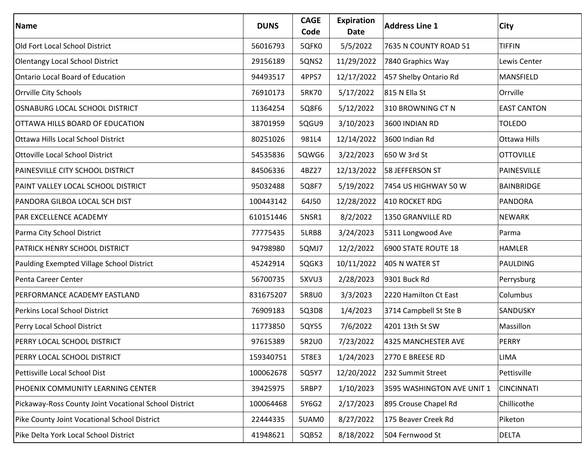| Name                                                  | <b>DUNS</b> | <b>CAGE</b><br>Code | <b>Expiration</b><br>Date | <b>Address Line 1</b>      | City               |
|-------------------------------------------------------|-------------|---------------------|---------------------------|----------------------------|--------------------|
| Old Fort Local School District                        | 56016793    | 5QFK0               | 5/5/2022                  | 7635 N COUNTY ROAD 51      | <b>TIFFIN</b>      |
| Olentangy Local School District                       | 29156189    | 5QNS2               | 11/29/2022                | 7840 Graphics Way          | Lewis Center       |
| <b>Ontario Local Board of Education</b>               | 94493517    | 4PPS7               | 12/17/2022                | 457 Shelby Ontario Rd      | MANSFIELD          |
| Orrville City Schools                                 | 76910173    | 5RK70               | 5/17/2022                 | 815 N Ella St              | Orrville           |
| OSNABURG LOCAL SCHOOL DISTRICT                        | 11364254    | 5Q8F6               | 5/12/2022                 | 310 BROWNING CT N          | <b>EAST CANTON</b> |
| OTTAWA HILLS BOARD OF EDUCATION                       | 38701959    | 5QGU9               | 3/10/2023                 | 3600 INDIAN RD             | <b>TOLEDO</b>      |
| <b>Ottawa Hills Local School District</b>             | 80251026    | 981L4               | 12/14/2022                | 3600 Indian Rd             | Ottawa Hills       |
| <b>Ottoville Local School District</b>                | 54535836    | 5QWG6               | 3/22/2023                 | 650 W 3rd St               | <b>OTTOVILLE</b>   |
| PAINESVILLE CITY SCHOOL DISTRICT                      | 84506336    | 4BZ27               | 12/13/2022                | 58 JEFFERSON ST            | PAINESVILLE        |
| PAINT VALLEY LOCAL SCHOOL DISTRICT                    | 95032488    | 5Q8F7               | 5/19/2022                 | 7454 US HIGHWAY 50 W       | <b>BAINBRIDGE</b>  |
| PANDORA GILBOA LOCAL SCH DIST                         | 100443142   | 64J50               | 12/28/2022                | 410 ROCKET RDG             | <b>PANDORA</b>     |
| <b>PAR EXCELLENCE ACADEMY</b>                         | 610151446   | 5NSR1               | 8/2/2022                  | 1350 GRANVILLE RD          | <b>NEWARK</b>      |
| Parma City School District                            | 77775435    | 5LRB8               | 3/24/2023                 | 5311 Longwood Ave          | Parma              |
| <b>PATRICK HENRY SCHOOL DISTRICT</b>                  | 94798980    | 5QMJ7               | 12/2/2022                 | 6900 STATE ROUTE 18        | <b>HAMLER</b>      |
| Paulding Exempted Village School District             | 45242914    | 5QGK3               | 10/11/2022                | 405 N WATER ST             | PAULDING           |
| Penta Career Center                                   | 56700735    | 5XVU3               | 2/28/2023                 | 9301 Buck Rd               | Perrysburg         |
| PERFORMANCE ACADEMY EASTLAND                          | 831675207   | 5R8U0               | 3/3/2023                  | 2220 Hamilton Ct East      | Columbus           |
| Perkins Local School District                         | 76909183    | 5Q3D8               | 1/4/2023                  | 3714 Campbell St Ste B     | SANDUSKY           |
| Perry Local School District                           | 11773850    | 5QY55               | 7/6/2022                  | 4201 13th St SW            | Massillon          |
| <b>PERRY LOCAL SCHOOL DISTRICT</b>                    | 97615389    | 5R2U0               | 7/23/2022                 | 4325 MANCHESTER AVE        | PERRY              |
| PERRY LOCAL SCHOOL DISTRICT                           | 159340751   | 5T8E3               | 1/24/2023                 | 2770 E BREESE RD           | <b>LIMA</b>        |
| Pettisville Local School Dist                         | 100062678   | 5Q5Y7               | 12/20/2022                | 232 Summit Street          | Pettisville        |
| PHOENIX COMMUNITY LEARNING CENTER                     | 39425975    | 5RBP7               | 1/10/2023                 | 3595 WASHINGTON AVE UNIT 1 | <b>CINCINNATI</b>  |
| Pickaway-Ross County Joint Vocational School District | 100064468   | 5Y6G2               | 2/17/2023                 | 895 Crouse Chapel Rd       | Chillicothe        |
| Pike County Joint Vocational School District          | 22444335    | 5UAM0               | 8/27/2022                 | 175 Beaver Creek Rd        | Piketon            |
| Pike Delta York Local School District                 | 41948621    | 5QB52               | 8/18/2022                 | 504 Fernwood St            | <b>DELTA</b>       |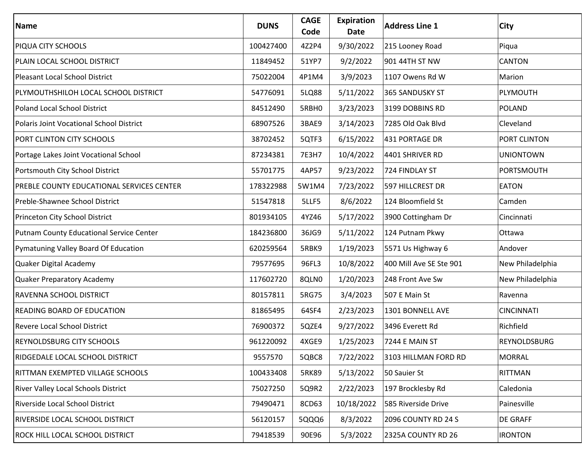| Name                                       | <b>DUNS</b> | <b>CAGE</b><br>Code | Expiration<br>Date | <b>Address Line 1</b>   | City              |
|--------------------------------------------|-------------|---------------------|--------------------|-------------------------|-------------------|
| PIQUA CITY SCHOOLS                         | 100427400   | 4Z2P4               | 9/30/2022          | 215 Looney Road         | Piqua             |
| PLAIN LOCAL SCHOOL DISTRICT                | 11849452    | 51YP7               | 9/2/2022           | 901 44TH ST NW          | CANTON            |
| <b>Pleasant Local School District</b>      | 75022004    | 4P1M4               | 3/9/2023           | 1107 Owens Rd W         | Marion            |
| PLYMOUTHSHILOH LOCAL SCHOOL DISTRICT       | 54776091    | 5LQ88               | 5/11/2022          | 365 SANDUSKY ST         | PLYMOUTH          |
| <b>Poland Local School District</b>        | 84512490    | 5RBH0               | 3/23/2023          | 3199 DOBBINS RD         | <b>POLAND</b>     |
| Polaris Joint Vocational School District   | 68907526    | 3BAE9               | 3/14/2023          | 7285 Old Oak Blvd       | Cleveland         |
| PORT CLINTON CITY SCHOOLS                  | 38702452    | 5QTF3               | 6/15/2022          | 431 PORTAGE DR          | PORT CLINTON      |
| Portage Lakes Joint Vocational School      | 87234381    | 7E3H7               | 10/4/2022          | 4401 SHRIVER RD         | <b>UNIONTOWN</b>  |
| Portsmouth City School District            | 55701775    | 4AP57               | 9/23/2022          | 724 FINDLAY ST          | PORTSMOUTH        |
| PREBLE COUNTY EDUCATIONAL SERVICES CENTER  | 178322988   | 5W1M4               | 7/23/2022          | 597 HILLCREST DR        | <b>EATON</b>      |
| Preble-Shawnee School District             | 51547818    | 5LLF5               | 8/6/2022           | 124 Bloomfield St       | Camden            |
| Princeton City School District             | 801934105   | 4YZ46               | 5/17/2022          | 3900 Cottingham Dr      | Cincinnati        |
| Putnam County Educational Service Center   | 184236800   | 36JG9               | 5/11/2022          | 124 Putnam Pkwy         | Ottawa            |
| Pymatuning Valley Board Of Education       | 620259564   | 5RBK9               | 1/19/2023          | 5571 Us Highway 6       | Andover           |
| Quaker Digital Academy                     | 79577695    | 96FL3               | 10/8/2022          | 400 Mill Ave SE Ste 901 | New Philadelphia  |
| Quaker Preparatory Academy                 | 117602720   | 8QLN0               | 1/20/2023          | 248 Front Ave Sw        | New Philadelphia  |
| RAVENNA SCHOOL DISTRICT                    | 80157811    | 5RG75               | 3/4/2023           | 507 E Main St           | Ravenna           |
| <b>READING BOARD OF EDUCATION</b>          | 81865495    | 64SF4               | 2/23/2023          | 1301 BONNELL AVE        | <b>CINCINNATI</b> |
| <b>Revere Local School District</b>        | 76900372    | 5QZE4               | 9/27/2022          | 3496 Everett Rd         | Richfield         |
| <b>REYNOLDSBURG CITY SCHOOLS</b>           | 961220092   | 4XGE9               | 1/25/2023          | 7244 E MAIN ST          | REYNOLDSBURG      |
| RIDGEDALE LOCAL SCHOOL DISTRICT            | 9557570     | 5QBC8               | 7/22/2022          | 3103 HILLMAN FORD RD    | <b>MORRAL</b>     |
| RITTMAN EXEMPTED VILLAGE SCHOOLS           | 100433408   | 5RK89               | 5/13/2022          | 50 Sauier St            | RITTMAN           |
| <b>River Valley Local Schools District</b> | 75027250    | 5Q9R2               | 2/22/2023          | 197 Brocklesby Rd       | Caledonia         |
| Riverside Local School District            | 79490471    | 8CD63               | 10/18/2022         | 585 Riverside Drive     | Painesville       |
| <b>RIVERSIDE LOCAL SCHOOL DISTRICT</b>     | 56120157    | 5QQQ6               | 8/3/2022           | 2096 COUNTY RD 24 S     | <b>DE GRAFF</b>   |
| ROCK HILL LOCAL SCHOOL DISTRICT            | 79418539    | 90E96               | 5/3/2022           | 2325A COUNTY RD 26      | <b>IRONTON</b>    |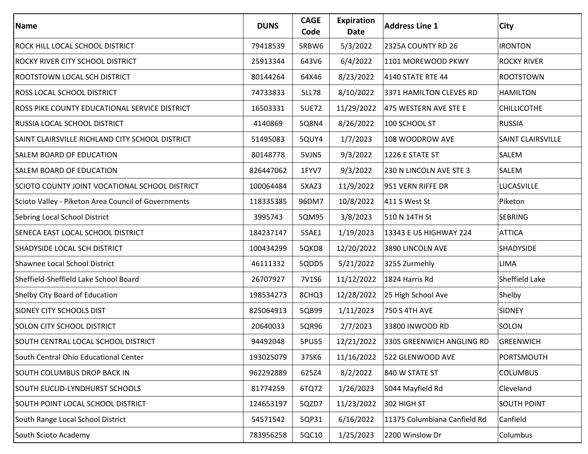| Name                                                 | <b>DUNS</b> | <b>CAGE</b><br>Code | <b>Expiration</b><br>Date | <b>Address Line 1</b>                | City               |
|------------------------------------------------------|-------------|---------------------|---------------------------|--------------------------------------|--------------------|
| <b>ROCK HILL LOCAL SCHOOL DISTRICT</b>               | 79418539    | 5RBW6               | 5/3/2022                  | 2325A COUNTY RD 26                   | <b>IRONTON</b>     |
| <b>ROCKY RIVER CITY SCHOOL DISTRICT</b>              | 25913344    | 643V6               | 6/4/2022                  | 1101 MOREWOOD PKWY                   | <b>ROCKY RIVER</b> |
| <b>ROOTSTOWN LOCAL SCH DISTRICT</b>                  | 80144264    | 64X46               | 8/23/2022                 | 4140 STATE RTE 44                    | <b>ROOTSTOWN</b>   |
| <b>ROSS LOCAL SCHOOL DISTRICT</b>                    | 74733833    | <b>5LL78</b>        | 8/10/2022                 | 3371 HAMILTON CLEVES RD              | <b>HAMILTON</b>    |
| <b>ROSS PIKE COUNTY EDUCATIONAL SERVICE DISTRICT</b> | 16503331    | 5UE72               | 11/29/2022                | 475 WESTERN AVE STE E                | <b>CHILLICOTHE</b> |
| <b>RUSSIA LOCAL SCHOOL DISTRICT</b>                  | 4140869     | 5Q8N4               | 8/26/2022                 | 100 SCHOOL ST                        | <b>RUSSIA</b>      |
| SAINT CLAIRSVILLE RICHLAND CITY SCHOOL DISTRICT      | 51495083    | 5QUY4               | 1/7/2023                  | 108 WOODROW AVE                      | SAINT CLAIRSVILLE  |
| SALEM BOARD OF EDUCATION                             | 80148778    | 5VJN5               | 9/3/2022                  | 1226 E STATE ST                      | SALEM              |
| <b>SALEM BOARD OF EDUCATION</b>                      | 826447062   | 1FYV7               | 9/3/2022                  | 230 N LINCOLN AVE STE 3              | SALEM              |
| SCIOTO COUNTY JOINT VOCATIONAL SCHOOL DISTRICT       | 100064484   | 5XAZ3               | 11/9/2022                 | 951 VERN RIFFE DR                    | LUCASVILLE         |
| Scioto Valley - Piketon Area Council of Governments  | 118335385   | 96DM7               | 10/8/2022                 | 411 S West St                        | Piketon            |
| Sebring Local School District                        | 3995743     | 5QM95               | 3/8/2023                  | 510 N 14TH St                        | <b>SEBRING</b>     |
| SENECA EAST LOCAL SCHOOL DISTRICT                    | 184237147   | 5SAE1               | 1/19/2023                 | 13343 E US HIGHWAY 224               | <b>ATTICA</b>      |
| SHADYSIDE LOCAL SCH DISTRICT                         | 100434299   | 5QKD8               | 12/20/2022                | 3890 LINCOLN AVE                     | SHADYSIDE          |
| Shawnee Local School District                        | 46111332    | 5QDD5               | 5/21/2022                 | 3255 Zurmehly                        | LIMA               |
| Sheffield-Sheffield Lake School Board                | 26707927    | 7V1S6               | 11/12/2022                | 1824 Harris Rd                       | Sheffield Lake     |
| Shelby City Board of Education                       | 198534273   | 8CHQ3               | 12/28/2022                | 25 High School Ave                   | Shelby             |
| <b>SIDNEY CITY SCHOOLS DIST</b>                      | 825064913   | 5QB99               | 1/11/2023                 | 750 S 4TH AVE                        | <b>SIDNEY</b>      |
| <b>SOLON CITY SCHOOL DISTRICT</b>                    | 20640033    | 5QR96               | 2/7/2023                  | 33800 INWOOD RD                      | SOLON              |
| SOUTH CENTRAL LOCAL SCHOOL DISTRICT                  | 94492048    | 5PU55               |                           | 12/21/2022 3305 GREENWICH ANGLING RD | <b>GREENWICH</b>   |
| South Central Ohio Educational Center                | 193025079   | 37SK6               | 11/16/2022                | 522 GLENWOOD AVE                     | PORTSMOUTH         |
| <b>SOUTH COLUMBUS DROP BACK IN</b>                   | 962292889   | 625Z4               | 8/2/2022                  | 840 W STATE ST                       | <b>COLUMBUS</b>    |
| SOUTH EUCLID-LYNDHURST SCHOOLS                       | 81774259    | 6TQ72               | 1/26/2023                 | 5044 Mayfield Rd                     | Cleveland          |
| SOUTH POINT LOCAL SCHOOL DISTRICT                    | 124653197   | 5QZD7               | 11/23/2022                | 302 HIGH ST                          | <b>SOUTH POINT</b> |
| South Range Local School District                    | 54571542    | 5QP31               | 6/16/2022                 | 11375 Columbiana Canfield Rd         | Canfield           |
| South Scioto Academy                                 | 783956258   | 5QC10               | 1/25/2023                 | 2200 Winslow Dr                      | Columbus           |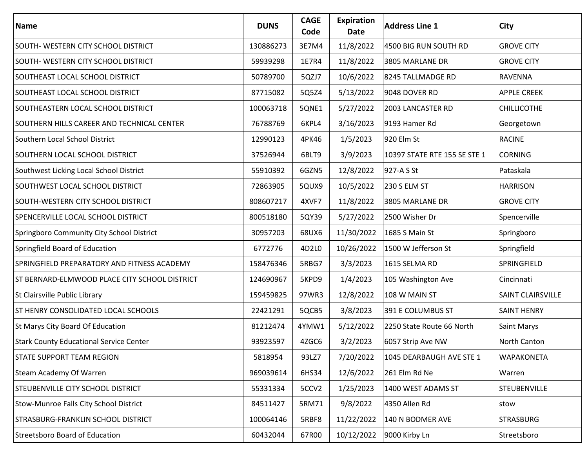| Name                                           | <b>DUNS</b> | <b>CAGE</b><br>Code | Expiration<br>Date | <b>Address Line 1</b>        | <b>City</b>              |
|------------------------------------------------|-------------|---------------------|--------------------|------------------------------|--------------------------|
| SOUTH- WESTERN CITY SCHOOL DISTRICT            | 130886273   | 3E7M4               | 11/8/2022          | 4500 BIG RUN SOUTH RD        | <b>GROVE CITY</b>        |
| SOUTH- WESTERN CITY SCHOOL DISTRICT            | 59939298    | 1E7R4               | 11/8/2022          | 3805 MARLANE DR              | <b>GROVE CITY</b>        |
| SOUTHEAST LOCAL SCHOOL DISTRICT                | 50789700    | 5QZJ7               | 10/6/2022          | 8245 TALLMADGE RD            | <b>RAVENNA</b>           |
| SOUTHEAST LOCAL SCHOOL DISTRICT                | 87715082    | 5Q5Z4               | 5/13/2022          | 9048 DOVER RD                | <b>APPLE CREEK</b>       |
| SOUTHEASTERN LOCAL SCHOOL DISTRICT             | 100063718   | 5QNE1               | 5/27/2022          | 2003 LANCASTER RD            | <b>CHILLICOTHE</b>       |
| SOUTHERN HILLS CAREER AND TECHNICAL CENTER     | 76788769    | 6KPL4               | 3/16/2023          | 9193 Hamer Rd                | Georgetown               |
| Southern Local School District                 | 12990123    | 4PK46               | 1/5/2023           | 920 Elm St                   | <b>RACINE</b>            |
| SOUTHERN LOCAL SCHOOL DISTRICT                 | 37526944    | 6BLT9               | 3/9/2023           | 10397 STATE RTE 155 SE STE 1 | <b>CORNING</b>           |
| Southwest Licking Local School District        | 55910392    | 6GZN5               | 12/8/2022          | 927-A S St                   | Pataskala                |
| SOUTHWEST LOCAL SCHOOL DISTRICT                | 72863905    | 5QUX9               | 10/5/2022          | 230 S ELM ST                 | <b>HARRISON</b>          |
| SOUTH-WESTERN CITY SCHOOL DISTRICT             | 808607217   | 4XVF7               | 11/8/2022          | 3805 MARLANE DR              | <b>GROVE CITY</b>        |
| SPENCERVILLE LOCAL SCHOOL DISTRICT             | 800518180   | 5QY39               | 5/27/2022          | 2500 Wisher Dr               | Spencerville             |
| Springboro Community City School District      | 30957203    | 68UX6               | 11/30/2022         | 1685 S Main St               | Springboro               |
| Springfield Board of Education                 | 6772776     | 4D2L0               | 10/26/2022         | 1500 W Jefferson St          | Springfield              |
| SPRINGFIELD PREPARATORY AND FITNESS ACADEMY    | 158476346   | 5RBG7               | 3/3/2023           | 1615 SELMA RD                | SPRINGFIELD              |
| ST BERNARD-ELMWOOD PLACE CITY SCHOOL DISTRICT  | 124690967   | 5KPD9               | 1/4/2023           | 105 Washington Ave           | Cincinnati               |
| St Clairsville Public Library                  | 159459825   | 97WR3               | 12/8/2022          | 108 W MAIN ST                | <b>SAINT CLAIRSVILLE</b> |
| <b>ST HENRY CONSOLIDATED LOCAL SCHOOLS</b>     | 22421291    | 5QCB5               | 3/8/2023           | 391 E COLUMBUS ST            | <b>SAINT HENRY</b>       |
| St Marys City Board Of Education               | 81212474    | 4YMW1               | 5/12/2022          | 2250 State Route 66 North    | Saint Marys              |
| <b>Stark County Educational Service Center</b> | 93923597    | 4ZGC6               | 3/2/2023           | 6057 Strip Ave NW            | North Canton             |
| <b>STATE SUPPORT TEAM REGION</b>               | 5818954     | 93LZ7               | 7/20/2022          | 1045 DEARBAUGH AVE STE 1     | <b>WAPAKONETA</b>        |
| Steam Academy Of Warren                        | 969039614   | 6HS34               | 12/6/2022          | 261 Elm Rd Ne                | Warren                   |
| <b>STEUBENVILLE CITY SCHOOL DISTRICT</b>       | 55331334    | 5CCV2               | 1/25/2023          | 1400 WEST ADAMS ST           | STEUBENVILLE             |
| Stow-Munroe Falls City School District         | 84511427    | 5RM71               | 9/8/2022           | 4350 Allen Rd                | stow                     |
| <b>STRASBURG-FRANKLIN SCHOOL DISTRICT</b>      | 100064146   | 5RBF8               | 11/22/2022         | 140 N BODMER AVE             | <b>STRASBURG</b>         |
| <b>Streetsboro Board of Education</b>          | 60432044    | 67R00               | 10/12/2022         | 9000 Kirby Ln                | Streetsboro              |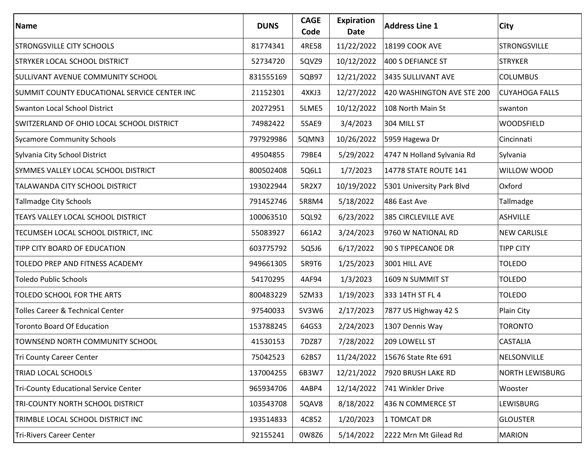| Name                                         | <b>DUNS</b> | <b>CAGE</b><br>Code | <b>Expiration</b><br>Date | <b>Address Line 1</b>      | <b>City</b>            |
|----------------------------------------------|-------------|---------------------|---------------------------|----------------------------|------------------------|
| <b>STRONGSVILLE CITY SCHOOLS</b>             | 81774341    | 4RE58               | 11/22/2022                | 18199 COOK AVE             | <b>STRONGSVILLE</b>    |
| <b>STRYKER LOCAL SCHOOL DISTRICT</b>         | 52734720    | 5QVZ9               | 10/12/2022                | 400 S DEFIANCE ST          | <b>STRYKER</b>         |
| <b>SULLIVANT AVENUE COMMUNITY SCHOOL</b>     | 831555169   | 5QB97               | 12/21/2022                | 3435 SULLIVANT AVE         | <b>COLUMBUS</b>        |
| SUMMIT COUNTY EDUCATIONAL SERVICE CENTER INC | 21152301    | 4XKJ3               | 12/27/2022                | 420 WASHINGTON AVE STE 200 | <b>CUYAHOGA FALLS</b>  |
| <b>Swanton Local School District</b>         | 20272951    | 5LME5               | 10/12/2022                | 108 North Main St          | swanton                |
| SWITZERLAND OF OHIO LOCAL SCHOOL DISTRICT    | 74982422    | 5SAE9               | 3/4/2023                  | 304 MILL ST                | <b>WOODSFIELD</b>      |
| <b>Sycamore Community Schools</b>            | 797929986   | 5QMN3               | 10/26/2022                | 5959 Hagewa Dr             | Cincinnati             |
| Sylvania City School District                | 49504855    | 79BE4               | 5/29/2022                 | 4747 N Holland Sylvania Rd | Sylvania               |
| SYMMES VALLEY LOCAL SCHOOL DISTRICT          | 800502408   | 5Q6L1               | 1/7/2023                  | 14778 STATE ROUTE 141      | WILLOW WOOD            |
| TALAWANDA CITY SCHOOL DISTRICT               | 193022944   | 5R2X7               | 10/19/2022                | 5301 University Park Blvd  | Oxford                 |
| <b>Tallmadge City Schools</b>                | 791452746   | 5R8M4               | 5/18/2022                 | 486 East Ave               | Tallmadge              |
| TEAYS VALLEY LOCAL SCHOOL DISTRICT           | 100063510   | 5QL92               | 6/23/2022                 | 385 CIRCLEVILLE AVE        | <b>ASHVILLE</b>        |
| TECUMSEH LOCAL SCHOOL DISTRICT, INC          | 55083927    | 661A2               | 3/24/2023                 | 9760 W NATIONAL RD         | <b>NEW CARLISLE</b>    |
| TIPP CITY BOARD OF EDUCATION                 | 603775792   | 5Q5J6               | 6/17/2022                 | 90 S TIPPECANOE DR         | <b>TIPP CITY</b>       |
| TOLEDO PREP AND FITNESS ACADEMY              | 949661305   | 5R9T6               | 1/25/2023                 | 3001 HILL AVE              | <b>TOLEDO</b>          |
| <b>Toledo Public Schools</b>                 | 54170295    | 4AF94               | 1/3/2023                  | 1609 N SUMMIT ST           | <b>TOLEDO</b>          |
| TOLEDO SCHOOL FOR THE ARTS                   | 800483229   | 5ZM33               | 1/19/2023                 | 333 14TH ST FL 4           | <b>TOLEDO</b>          |
| Tolles Career & Technical Center             | 97540033    | 5V3W6               | 2/17/2023                 | 7877 US Highway 42 S       | Plain City             |
| <b>Toronto Board Of Education</b>            | 153788245   | 64GS3               | 2/24/2023                 | 1307 Dennis Way            | <b>TORONTO</b>         |
| TOWNSEND NORTH COMMUNITY SCHOOL              | 41530153    | 7DZ87               | 7/28/2022                 | 209 LOWELL ST              | <b>CASTALIA</b>        |
| Tri County Career Center                     | 75042523    | 62BS7               | 11/24/2022                | 15676 State Rte 691        | NELSONVILLE            |
| TRIAD LOCAL SCHOOLS                          | 137004255   | 6B3W7               | 12/21/2022                | 7920 BRUSH LAKE RD         | <b>NORTH LEWISBURG</b> |
| <b>Tri-County Educational Service Center</b> | 965934706   | 4ABP4               | 12/14/2022                | 741 Winkler Drive          | Wooster                |
| TRI-COUNTY NORTH SCHOOL DISTRICT             | 103543708   | 5QAV8               | 8/18/2022                 | 436 N COMMERCE ST          | <b>LEWISBURG</b>       |
| TRIMBLE LOCAL SCHOOL DISTRICT INC            | 193514833   | 4C852               | 1/20/2023                 | 1 TOMCAT DR                | <b>GLOUSTER</b>        |
| Tri-Rivers Career Center                     | 92155241    | 0W8Z6               | 5/14/2022                 | 2222 Mrn Mt Gilead Rd      | <b>MARION</b>          |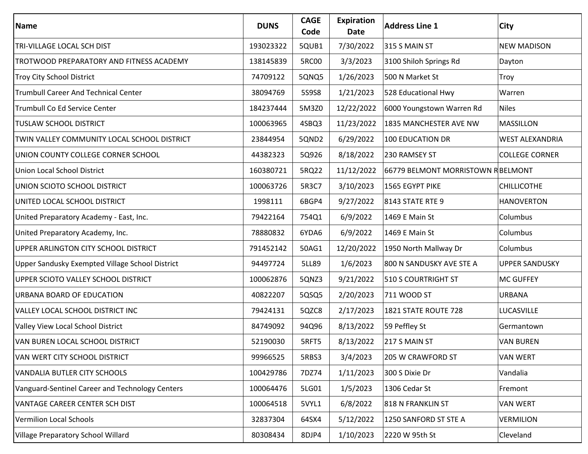| Name                                            | <b>DUNS</b> | <b>CAGE</b><br>Code | <b>Expiration</b><br>Date | <b>Address Line 1</b>             | <b>City</b>            |
|-------------------------------------------------|-------------|---------------------|---------------------------|-----------------------------------|------------------------|
| TRI-VILLAGE LOCAL SCH DIST                      | 193023322   | 5QUB1               | 7/30/2022                 | 315 S MAIN ST                     | <b>NEW MADISON</b>     |
| <b>TROTWOOD PREPARATORY AND FITNESS ACADEMY</b> | 138145839   | 5RC00               | 3/3/2023                  | 3100 Shiloh Springs Rd            | Dayton                 |
| <b>Troy City School District</b>                | 74709122    | 5QNQ5               | 1/26/2023                 | 500 N Market St                   | Troy                   |
| <b>Trumbull Career And Technical Center</b>     | 38094769    | 5S9S8               | 1/21/2023                 | 528 Educational Hwy               | Warren                 |
| Trumbull Co Ed Service Center                   | 184237444   | 5M3Z0               | 12/22/2022                | 6000 Youngstown Warren Rd         | <b>Niles</b>           |
| <b>TUSLAW SCHOOL DISTRICT</b>                   | 100063965   | 4SBQ3               | 11/23/2022                | 1835 MANCHESTER AVE NW            | <b>MASSILLON</b>       |
| TWIN VALLEY COMMUNITY LOCAL SCHOOL DISTRICT     | 23844954    | 5QND2               | 6/29/2022                 | <b>100 EDUCATION DR</b>           | <b>WEST ALEXANDRIA</b> |
| UNION COUNTY COLLEGE CORNER SCHOOL              | 44382323    | 5Q926               | 8/18/2022                 | 230 RAMSEY ST                     | <b>COLLEGE CORNER</b>  |
| Union Local School District                     | 160380721   | 5RQ22               | 11/12/2022                | 66779 BELMONT MORRISTOWN RBELMONT |                        |
| UNION SCIOTO SCHOOL DISTRICT                    | 100063726   | 5R3C7               | 3/10/2023                 | 1565 EGYPT PIKE                   | <b>CHILLICOTHE</b>     |
| UNITED LOCAL SCHOOL DISTRICT                    | 1998111     | 6BGP4               | 9/27/2022                 | 8143 STATE RTE 9                  | <b>HANOVERTON</b>      |
| United Preparatory Academy - East, Inc.         | 79422164    | 754Q1               | 6/9/2022                  | 1469 E Main St                    | Columbus               |
| United Preparatory Academy, Inc.                | 78880832    | 6YDA6               | 6/9/2022                  | 1469 E Main St                    | Columbus               |
| UPPER ARLINGTON CITY SCHOOL DISTRICT            | 791452142   | 50AG1               | 12/20/2022                | 1950 North Mallway Dr             | Columbus               |
| Upper Sandusky Exempted Village School District | 94497724    | 5LL89               | 1/6/2023                  | 800 N SANDUSKY AVE STE A          | <b>UPPER SANDUSKY</b>  |
| UPPER SCIOTO VALLEY SCHOOL DISTRICT             | 100062876   | 5QNZ3               | 9/21/2022                 | 510 S COURTRIGHT ST               | <b>MC GUFFEY</b>       |
| <b>URBANA BOARD OF EDUCATION</b>                | 40822207    | 5QSQ5               | 2/20/2023                 | 711 WOOD ST                       | <b>URBANA</b>          |
| VALLEY LOCAL SCHOOL DISTRICT INC                | 79424131    | 5QZC8               | 2/17/2023                 | 1821 STATE ROUTE 728              | LUCASVILLE             |
| Valley View Local School District               | 84749092    | 94Q96               | 8/13/2022                 | 59 Peffley St                     | Germantown             |
| VAN BUREN LOCAL SCHOOL DISTRICT                 | 52190030    | 5RFT5               | 8/13/2022                 | 217 S MAIN ST                     | <b>VAN BUREN</b>       |
| VAN WERT CITY SCHOOL DISTRICT                   | 99966525    | 5RBS3               | 3/4/2023                  | 205 W CRAWFORD ST                 | <b>VAN WERT</b>        |
| <b>VANDALIA BUTLER CITY SCHOOLS</b>             | 100429786   | 7DZ74               | 1/11/2023                 | 300 S Dixie Dr                    | Vandalia               |
| Vanguard-Sentinel Career and Technology Centers | 100064476   | 5LG01               | 1/5/2023                  | 1306 Cedar St                     | Fremont                |
| VANTAGE CAREER CENTER SCH DIST                  | 100064518   | 5VYL1               | 6/8/2022                  | 818 N FRANKLIN ST                 | <b>VAN WERT</b>        |
| <b>Vermilion Local Schools</b>                  | 32837304    | 64SX4               | 5/12/2022                 | 1250 SANFORD ST STE A             | <b>VERMILION</b>       |
| Village Preparatory School Willard              | 80308434    | 8DJP4               | 1/10/2023                 | 2220 W 95th St                    | Cleveland              |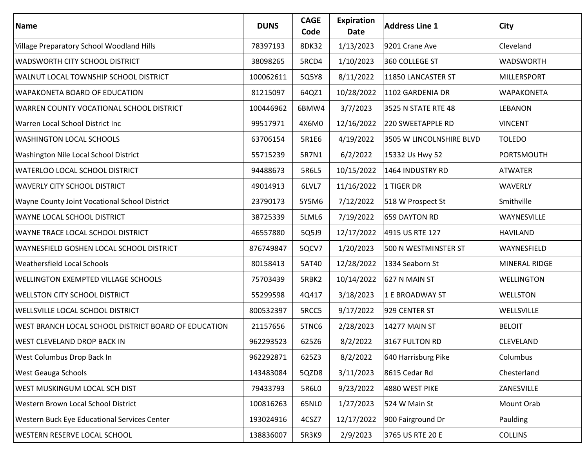| Name                                                 | <b>DUNS</b> | <b>CAGE</b><br>Code | Expiration<br>Date | <b>Address Line 1</b>    | City               |
|------------------------------------------------------|-------------|---------------------|--------------------|--------------------------|--------------------|
| Village Preparatory School Woodland Hills            | 78397193    | 8DK32               | 1/13/2023          | 9201 Crane Ave           | Cleveland          |
| <b>WADSWORTH CITY SCHOOL DISTRICT</b>                | 38098265    | 5RCD4               | 1/10/2023          | 360 COLLEGE ST           | <b>WADSWORTH</b>   |
| <b>WALNUT LOCAL TOWNSHIP SCHOOL DISTRICT</b>         | 100062611   | 5Q5Y8               | 8/11/2022          | 11850 LANCASTER ST       | <b>MILLERSPORT</b> |
| <b>WAPAKONETA BOARD OF EDUCATION</b>                 | 81215097    | 64QZ1               | 10/28/2022         | 1102 GARDENIA DR         | <b>WAPAKONETA</b>  |
| WARREN COUNTY VOCATIONAL SCHOOL DISTRICT             | 100446962   | 6BMW4               | 3/7/2023           | 3525 N STATE RTE 48      | <b>LEBANON</b>     |
| Warren Local School District Inc                     | 99517971    | 4X6M0               | 12/16/2022         | 220 SWEETAPPLE RD        | <b>VINCENT</b>     |
| <b>WASHINGTON LOCAL SCHOOLS</b>                      | 63706154    | 5R1E6               | 4/19/2022          | 3505 W LINCOLNSHIRE BLVD | <b>TOLEDO</b>      |
| Washington Nile Local School District                | 55715239    | 5R7N1               | 6/2/2022           | 15332 Us Hwy 52          | <b>PORTSMOUTH</b>  |
| <b>WATERLOO LOCAL SCHOOL DISTRICT</b>                | 94488673    | 5R6L5               | 10/15/2022         | 1464 INDUSTRY RD         | <b>ATWATER</b>     |
| <b>WAVERLY CITY SCHOOL DISTRICT</b>                  | 49014913    | 6LVL7               | 11/16/2022         | 1 TIGER DR               | <b>WAVERLY</b>     |
| <b>Wayne County Joint Vocational School District</b> | 23790173    | 5Y5M6               | 7/12/2022          | 518 W Prospect St        | Smithville         |
| <b>WAYNE LOCAL SCHOOL DISTRICT</b>                   | 38725339    | 5LML6               | 7/19/2022          | 659 DAYTON RD            | WAYNESVILLE        |
| <b>WAYNE TRACE LOCAL SCHOOL DISTRICT</b>             | 46557880    | 5Q5J9               | 12/17/2022         | 4915 US RTE 127          | <b>HAVILAND</b>    |
| <b>WAYNESFIELD GOSHEN LOCAL SCHOOL DISTRICT</b>      | 876749847   | 5QCV7               | 1/20/2023          | 500 N WESTMINSTER ST     | WAYNESFIELD        |
| <b>Weathersfield Local Schools</b>                   | 80158413    | 5AT40               | 12/28/2022         | 1334 Seaborn St          | MINERAL RIDGE      |
| <b>WELLINGTON EXEMPTED VILLAGE SCHOOLS</b>           | 75703439    | 5RBK2               | 10/14/2022         | 627 N MAIN ST            | <b>WELLINGTON</b>  |
| <b>WELLSTON CITY SCHOOL DISTRICT</b>                 | 55299598    | 4Q417               | 3/18/2023          | 1 E BROADWAY ST          | <b>WELLSTON</b>    |
| <b>WELLSVILLE LOCAL SCHOOL DISTRICT</b>              | 800532397   | 5RCC5               | 9/17/2022          | 929 CENTER ST            | WELLSVILLE         |
| WEST BRANCH LOCAL SCHOOL DISTRICT BOARD OF EDUCATION | 21157656    | 5TNC6               | 2/28/2023          | <b>14277 MAIN ST</b>     | <b>BELOIT</b>      |
| <b>WEST CLEVELAND DROP BACK IN</b>                   | 962293523   | 625Z6               | 8/2/2022           | 3167 FULTON RD           | <b>CLEVELAND</b>   |
| West Columbus Drop Back In                           | 962292871   | 625Z3               | 8/2/2022           | 640 Harrisburg Pike      | Columbus           |
| <b>West Geauga Schools</b>                           | 143483084   | 5QZD8               | 3/11/2023          | 8615 Cedar Rd            | Chesterland        |
| <b>WEST MUSKINGUM LOCAL SCH DIST</b>                 | 79433793    | 5R6L0               | 9/23/2022          | 4880 WEST PIKE           | ZANESVILLE         |
| Western Brown Local School District                  | 100816263   | 65NL0               | 1/27/2023          | 524 W Main St            | Mount Orab         |
| <b>Western Buck Eye Educational Services Center</b>  | 193024916   | 4CSZ7               | 12/17/2022         | 900 Fairground Dr        | Paulding           |
| <b>WESTERN RESERVE LOCAL SCHOOL</b>                  | 138836007   | 5R3K9               | 2/9/2023           | 3765 US RTE 20 E         | <b>COLLINS</b>     |